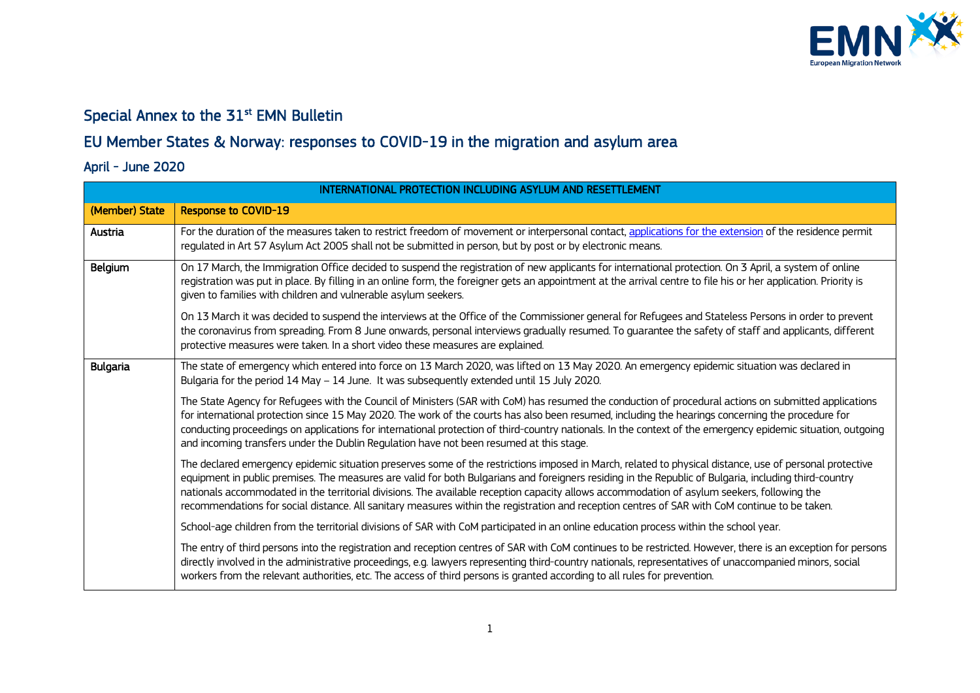

## Special Annex to the 31<sup>st</sup> EMN Bulletin

## EU Member States & Norway: responses to COVID-19 in the migration and asylum area

## April - June 2020

| INTERNATIONAL PROTECTION INCLUDING ASYLUM AND RESETTLEMENT |                                                                                                                                                                                                                                                                                                                                                                                                                                                                                                                                                                                                                   |
|------------------------------------------------------------|-------------------------------------------------------------------------------------------------------------------------------------------------------------------------------------------------------------------------------------------------------------------------------------------------------------------------------------------------------------------------------------------------------------------------------------------------------------------------------------------------------------------------------------------------------------------------------------------------------------------|
| (Member) State                                             | <b>Response to COVID-19</b>                                                                                                                                                                                                                                                                                                                                                                                                                                                                                                                                                                                       |
| Austria                                                    | For the duration of the measures taken to restrict freedom of movement or interpersonal contact, applications for the extension of the residence permit<br>regulated in Art 57 Asylum Act 2005 shall not be submitted in person, but by post or by electronic means.                                                                                                                                                                                                                                                                                                                                              |
| Belgium                                                    | On 17 March, the Immigration Office decided to suspend the registration of new applicants for international protection. On 3 April, a system of online<br>registration was put in place. By filling in an online form, the foreigner gets an appointment at the arrival centre to file his or her application. Priority is<br>given to families with children and vulnerable asylum seekers.                                                                                                                                                                                                                      |
|                                                            | On 13 March it was decided to suspend the interviews at the Office of the Commissioner general for Refugees and Stateless Persons in order to prevent<br>the coronavirus from spreading. From 8 June onwards, personal interviews gradually resumed. To guarantee the safety of staff and applicants, different<br>protective measures were taken. In a short video these measures are explained.                                                                                                                                                                                                                 |
| <b>Bulgaria</b>                                            | The state of emergency which entered into force on 13 March 2020, was lifted on 13 May 2020. An emergency epidemic situation was declared in<br>Bulgaria for the period 14 May - 14 June. It was subsequently extended until 15 July 2020.                                                                                                                                                                                                                                                                                                                                                                        |
|                                                            | The State Agency for Refugees with the Council of Ministers (SAR with CoM) has resumed the conduction of procedural actions on submitted applications<br>for international protection since 15 May 2020. The work of the courts has also been resumed, including the hearings concerning the procedure for<br>conducting proceedings on applications for international protection of third-country nationals. In the context of the emergency epidemic situation, outgoing<br>and incoming transfers under the Dublin Regulation have not been resumed at this stage.                                             |
|                                                            | The declared emergency epidemic situation preserves some of the restrictions imposed in March, related to physical distance, use of personal protective<br>equipment in public premises. The measures are valid for both Bulgarians and foreigners residing in the Republic of Bulgaria, including third-country<br>nationals accommodated in the territorial divisions. The available reception capacity allows accommodation of asylum seekers, following the<br>recommendations for social distance. All sanitary measures within the registration and reception centres of SAR with CoM continue to be taken. |
|                                                            | School-age children from the territorial divisions of SAR with CoM participated in an online education process within the school year.                                                                                                                                                                                                                                                                                                                                                                                                                                                                            |
|                                                            | The entry of third persons into the registration and reception centres of SAR with CoM continues to be restricted. However, there is an exception for persons<br>directly involved in the administrative proceedings, e.g. lawyers representing third-country nationals, representatives of unaccompanied minors, social<br>workers from the relevant authorities, etc. The access of third persons is granted according to all rules for prevention.                                                                                                                                                             |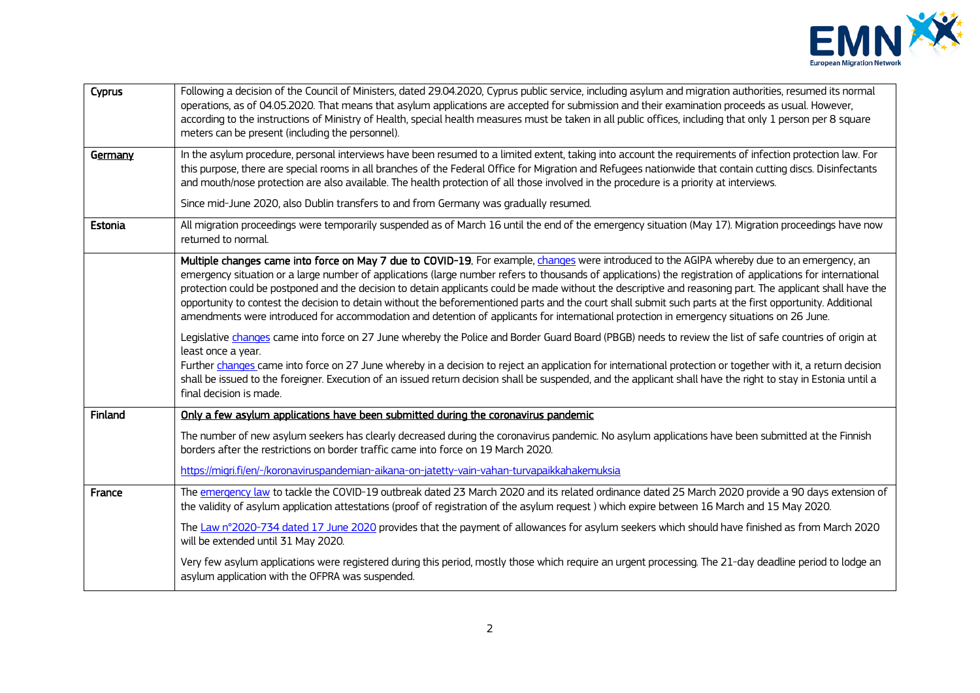

| Cyprus  | Following a decision of the Council of Ministers, dated 29.04.2020, Cyprus public service, including asylum and migration authorities, resumed its normal<br>operations, as of 04.05.2020. That means that asylum applications are accepted for submission and their examination proceeds as usual. However,<br>according to the instructions of Ministry of Health, special health measures must be taken in all public offices, including that only 1 person per 8 square<br>meters can be present (including the personnel).                                                                                                                                                                                                                                                      |
|---------|--------------------------------------------------------------------------------------------------------------------------------------------------------------------------------------------------------------------------------------------------------------------------------------------------------------------------------------------------------------------------------------------------------------------------------------------------------------------------------------------------------------------------------------------------------------------------------------------------------------------------------------------------------------------------------------------------------------------------------------------------------------------------------------|
| Germany | In the asylum procedure, personal interviews have been resumed to a limited extent, taking into account the requirements of infection protection law. For<br>this purpose, there are special rooms in all branches of the Federal Office for Migration and Refugees nationwide that contain cutting discs. Disinfectants<br>and mouth/nose protection are also available. The health protection of all those involved in the procedure is a priority at interviews.                                                                                                                                                                                                                                                                                                                  |
|         | Since mid-June 2020, also Dublin transfers to and from Germany was gradually resumed.                                                                                                                                                                                                                                                                                                                                                                                                                                                                                                                                                                                                                                                                                                |
| Estonia | All migration proceedings were temporarily suspended as of March 16 until the end of the emergency situation (May 17). Migration proceedings have now<br>returned to normal.                                                                                                                                                                                                                                                                                                                                                                                                                                                                                                                                                                                                         |
|         | Multiple changes came into force on May 7 due to COVID-19. For example, changes were introduced to the AGIPA whereby due to an emergency, an<br>emergency situation or a large number of applications (large number refers to thousands of applications) the registration of applications for international<br>protection could be postponed and the decision to detain applicants could be made without the descriptive and reasoning part. The applicant shall have the<br>opportunity to contest the decision to detain without the beforementioned parts and the court shall submit such parts at the first opportunity. Additional<br>amendments were introduced for accommodation and detention of applicants for international protection in emergency situations on 26 June. |
|         | Legislative changes came into force on 27 June whereby the Police and Border Guard Board (PBGB) needs to review the list of safe countries of origin at<br>least once a year.<br>Further changes came into force on 27 June whereby in a decision to reject an application for international protection or together with it, a return decision<br>shall be issued to the foreigner. Execution of an issued return decision shall be suspended, and the applicant shall have the right to stay in Estonia until a<br>final decision is made.                                                                                                                                                                                                                                          |
| Finland | Only a few asylum applications have been submitted during the coronavirus pandemic                                                                                                                                                                                                                                                                                                                                                                                                                                                                                                                                                                                                                                                                                                   |
|         | The number of new asylum seekers has clearly decreased during the coronavirus pandemic. No asylum applications have been submitted at the Finnish<br>borders after the restrictions on border traffic came into force on 19 March 2020.                                                                                                                                                                                                                                                                                                                                                                                                                                                                                                                                              |
|         | https://migri.fi/en/-/koronaviruspandemian-aikana-on-jatetty-vain-vahan-turvapaikkahakemuksia                                                                                                                                                                                                                                                                                                                                                                                                                                                                                                                                                                                                                                                                                        |
| France  | The emergency law to tackle the COVID-19 outbreak dated 23 March 2020 and its related ordinance dated 25 March 2020 provide a 90 days extension of<br>the validity of asylum application attestations (proof of registration of the asylum request) which expire between 16 March and 15 May 2020.                                                                                                                                                                                                                                                                                                                                                                                                                                                                                   |
|         | The Law n°2020-734 dated 17 June 2020 provides that the payment of allowances for asylum seekers which should have finished as from March 2020<br>will be extended until 31 May 2020.                                                                                                                                                                                                                                                                                                                                                                                                                                                                                                                                                                                                |
|         | Very few asylum applications were registered during this period, mostly those which require an urgent processing. The 21-day deadline period to lodge an<br>asylum application with the OFPRA was suspended.                                                                                                                                                                                                                                                                                                                                                                                                                                                                                                                                                                         |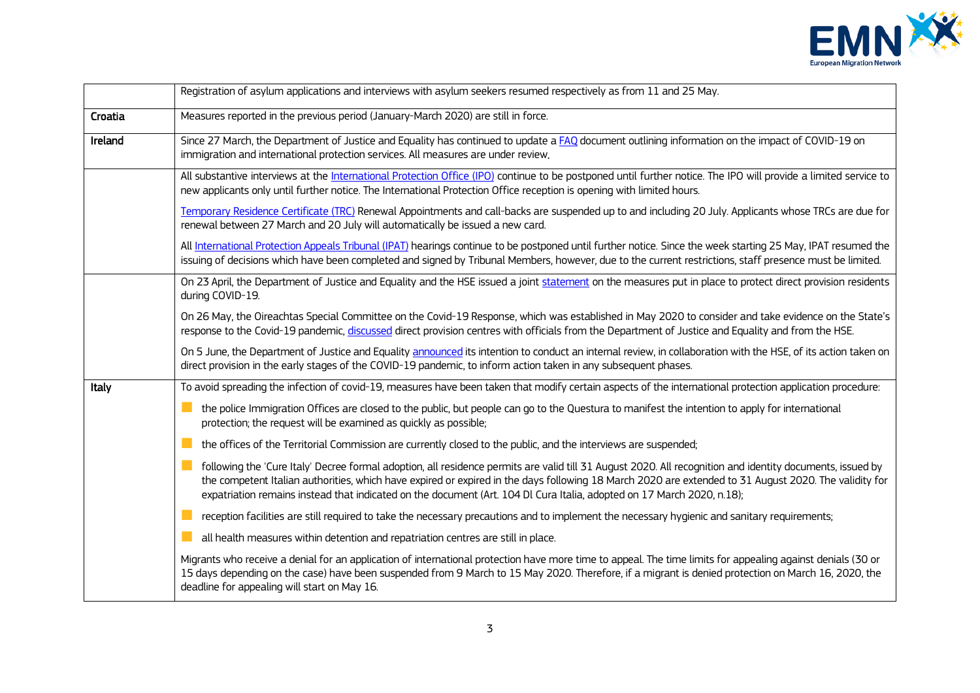

|         | Registration of asylum applications and interviews with asylum seekers resumed respectively as from 11 and 25 May.                                                                                                                                                                                                                                                                                                                           |
|---------|----------------------------------------------------------------------------------------------------------------------------------------------------------------------------------------------------------------------------------------------------------------------------------------------------------------------------------------------------------------------------------------------------------------------------------------------|
| Croatia | Measures reported in the previous period (January-March 2020) are still in force.                                                                                                                                                                                                                                                                                                                                                            |
| Ireland | Since 27 March, the Department of Justice and Equality has continued to update a FAQ document outlining information on the impact of COVID-19 on<br>immigration and international protection services. All measures are under review.                                                                                                                                                                                                        |
|         | All substantive interviews at the International Protection Office (IPO) continue to be postponed until further notice. The IPO will provide a limited service to<br>new applicants only until further notice. The International Protection Office reception is opening with limited hours.                                                                                                                                                   |
|         | Temporary Residence Certificate (TRC) Renewal Appointments and call-backs are suspended up to and including 20 July. Applicants whose TRCs are due for<br>renewal between 27 March and 20 July will automatically be issued a new card.                                                                                                                                                                                                      |
|         | All International Protection Appeals Tribunal (IPAT) hearings continue to be postponed until further notice. Since the week starting 25 May, IPAT resumed the<br>issuing of decisions which have been completed and signed by Tribunal Members, however, due to the current restrictions, staff presence must be limited.                                                                                                                    |
|         | On 23 April, the Department of Justice and Equality and the HSE issued a joint statement on the measures put in place to protect direct provision residents<br>during COVID-19.                                                                                                                                                                                                                                                              |
|         | On 26 May, the Oireachtas Special Committee on the Covid-19 Response, which was established in May 2020 to consider and take evidence on the State's<br>response to the Covid-19 pandemic, discussed direct provision centres with officials from the Department of Justice and Equality and from the HSE.                                                                                                                                   |
|         | On 5 June, the Department of Justice and Equality announced its intention to conduct an internal review, in collaboration with the HSE, of its action taken on<br>direct provision in the early stages of the COVID-19 pandemic, to inform action taken in any subsequent phases.                                                                                                                                                            |
| Italy   | To avoid spreading the infection of covid-19, measures have been taken that modify certain aspects of the international protection application procedure:                                                                                                                                                                                                                                                                                    |
|         | M.<br>the police Immigration Offices are closed to the public, but people can go to the Questura to manifest the intention to apply for international<br>protection; the request will be examined as quickly as possible;                                                                                                                                                                                                                    |
|         | the offices of the Territorial Commission are currently closed to the public, and the interviews are suspended;                                                                                                                                                                                                                                                                                                                              |
|         | following the 'Cure Italy' Decree formal adoption, all residence permits are valid till 31 August 2020. All recognition and identity documents, issued by<br>the competent Italian authorities, which have expired or expired in the days following 18 March 2020 are extended to 31 August 2020. The validity for<br>expatriation remains instead that indicated on the document (Art. 104 Dl Cura Italia, adopted on 17 March 2020, n.18); |
|         | reception facilities are still required to take the necessary precautions and to implement the necessary hygienic and sanitary requirements;                                                                                                                                                                                                                                                                                                 |
|         | all health measures within detention and repatriation centres are still in place.                                                                                                                                                                                                                                                                                                                                                            |
|         | Migrants who receive a denial for an application of international protection have more time to appeal. The time limits for appealing against denials (30 or<br>15 days depending on the case) have been suspended from 9 March to 15 May 2020. Therefore, if a migrant is denied protection on March 16, 2020, the<br>deadline for appealing will start on May 16.                                                                           |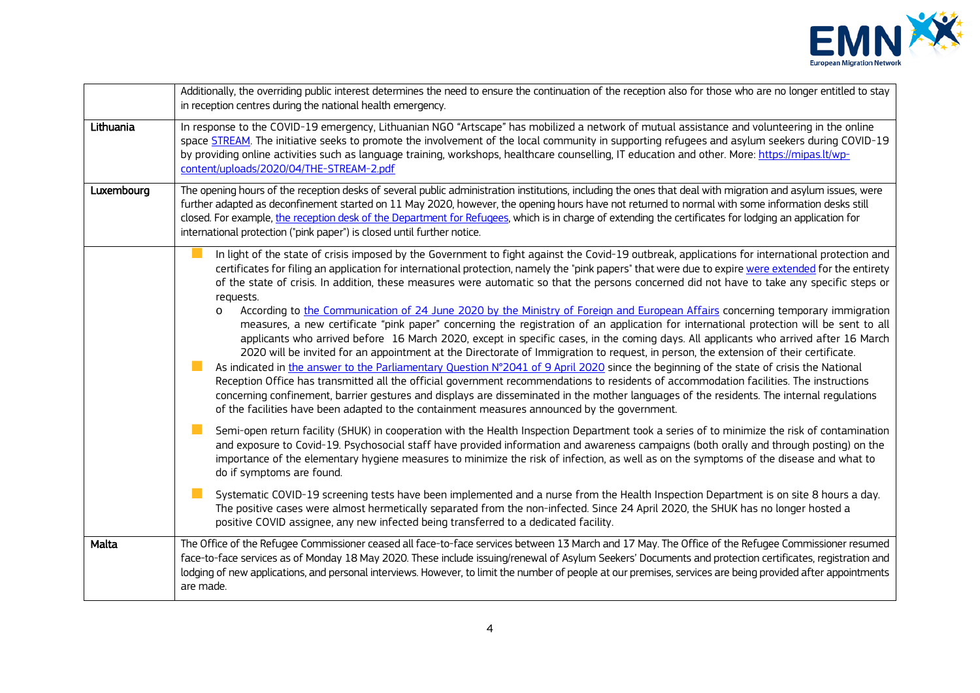

|            | Additionally, the overriding public interest determines the need to ensure the continuation of the reception also for those who are no longer entitled to stay<br>in reception centres during the national health emergency.                                                                                                                                                                                                                                                                                                                                                                                                                                                                                                                                                                                                                                                                                                                                                                                                                                                                                                                                                                                                                                                                                                                                                                                                                                                                                                                                                                                                                                                                                                                                                                                                                                                                                                                                                                                                                                                                                                                                                                                                                                                                                                                                                                                            |
|------------|-------------------------------------------------------------------------------------------------------------------------------------------------------------------------------------------------------------------------------------------------------------------------------------------------------------------------------------------------------------------------------------------------------------------------------------------------------------------------------------------------------------------------------------------------------------------------------------------------------------------------------------------------------------------------------------------------------------------------------------------------------------------------------------------------------------------------------------------------------------------------------------------------------------------------------------------------------------------------------------------------------------------------------------------------------------------------------------------------------------------------------------------------------------------------------------------------------------------------------------------------------------------------------------------------------------------------------------------------------------------------------------------------------------------------------------------------------------------------------------------------------------------------------------------------------------------------------------------------------------------------------------------------------------------------------------------------------------------------------------------------------------------------------------------------------------------------------------------------------------------------------------------------------------------------------------------------------------------------------------------------------------------------------------------------------------------------------------------------------------------------------------------------------------------------------------------------------------------------------------------------------------------------------------------------------------------------------------------------------------------------------------------------------------------------|
| Lithuania  | In response to the COVID-19 emergency, Lithuanian NGO "Artscape" has mobilized a network of mutual assistance and volunteering in the online<br>space STREAM. The initiative seeks to promote the involvement of the local community in supporting refugees and asylum seekers during COVID-19<br>by providing online activities such as language training, workshops, healthcare counselling, IT education and other. More: https://mipas.lt/wp-<br>content/uploads/2020/04/THE-STREAM-2.pdf                                                                                                                                                                                                                                                                                                                                                                                                                                                                                                                                                                                                                                                                                                                                                                                                                                                                                                                                                                                                                                                                                                                                                                                                                                                                                                                                                                                                                                                                                                                                                                                                                                                                                                                                                                                                                                                                                                                           |
| Luxembourg | The opening hours of the reception desks of several public administration institutions, including the ones that deal with migration and asylum issues, were<br>further adapted as deconfinement started on 11 May 2020, however, the opening hours have not returned to normal with some information desks still<br>closed. For example, the reception desk of the Department for Refugees, which is in charge of extending the certificates for lodging an application for<br>international protection ("pink paper") is closed until further notice.                                                                                                                                                                                                                                                                                                                                                                                                                                                                                                                                                                                                                                                                                                                                                                                                                                                                                                                                                                                                                                                                                                                                                                                                                                                                                                                                                                                                                                                                                                                                                                                                                                                                                                                                                                                                                                                                  |
|            | In light of the state of crisis imposed by the Government to fight against the Covid-19 outbreak, applications for international protection and<br>certificates for filing an application for international protection, namely the "pink papers" that were due to expire were extended for the entirety<br>of the state of crisis. In addition, these measures were automatic so that the persons concerned did not have to take any specific steps or<br>requests.<br>According to the Communication of 24 June 2020 by the Ministry of Foreign and European Affairs concerning temporary immigration<br>$\circ$<br>measures, a new certificate "pink paper" concerning the registration of an application for international protection will be sent to all<br>applicants who arrived before 16 March 2020, except in specific cases, in the coming days. All applicants who arrived after 16 March<br>2020 will be invited for an appointment at the Directorate of Immigration to request, in person, the extension of their certificate.<br>As indicated in the answer to the Parliamentary Question N°2041 of 9 April 2020 since the beginning of the state of crisis the National<br>Reception Office has transmitted all the official government recommendations to residents of accommodation facilities. The instructions<br>concerning confinement, barrier gestures and displays are disseminated in the mother languages of the residents. The internal regulations<br>of the facilities have been adapted to the containment measures announced by the government.<br>Semi-open return facility (SHUK) in cooperation with the Health Inspection Department took a series of to minimize the risk of contamination<br>and exposure to Covid-19. Psychosocial staff have provided information and awareness campaigns (both orally and through posting) on the<br>importance of the elementary hygiene measures to minimize the risk of infection, as well as on the symptoms of the disease and what to<br>do if symptoms are found.<br>Systematic COVID-19 screening tests have been implemented and a nurse from the Health Inspection Department is on site 8 hours a day.<br>The positive cases were almost hermetically separated from the non-infected. Since 24 April 2020, the SHUK has no longer hosted a<br>positive COVID assignee, any new infected being transferred to a dedicated facility. |
| Malta      | The Office of the Refugee Commissioner ceased all face-to-face services between 13 March and 17 May. The Office of the Refugee Commissioner resumed<br>face-to-face services as of Monday 18 May 2020. These include issuing/renewal of Asylum Seekers' Documents and protection certificates, registration and<br>lodging of new applications, and personal interviews. However, to limit the number of people at our premises, services are being provided after appointments<br>are made.                                                                                                                                                                                                                                                                                                                                                                                                                                                                                                                                                                                                                                                                                                                                                                                                                                                                                                                                                                                                                                                                                                                                                                                                                                                                                                                                                                                                                                                                                                                                                                                                                                                                                                                                                                                                                                                                                                                            |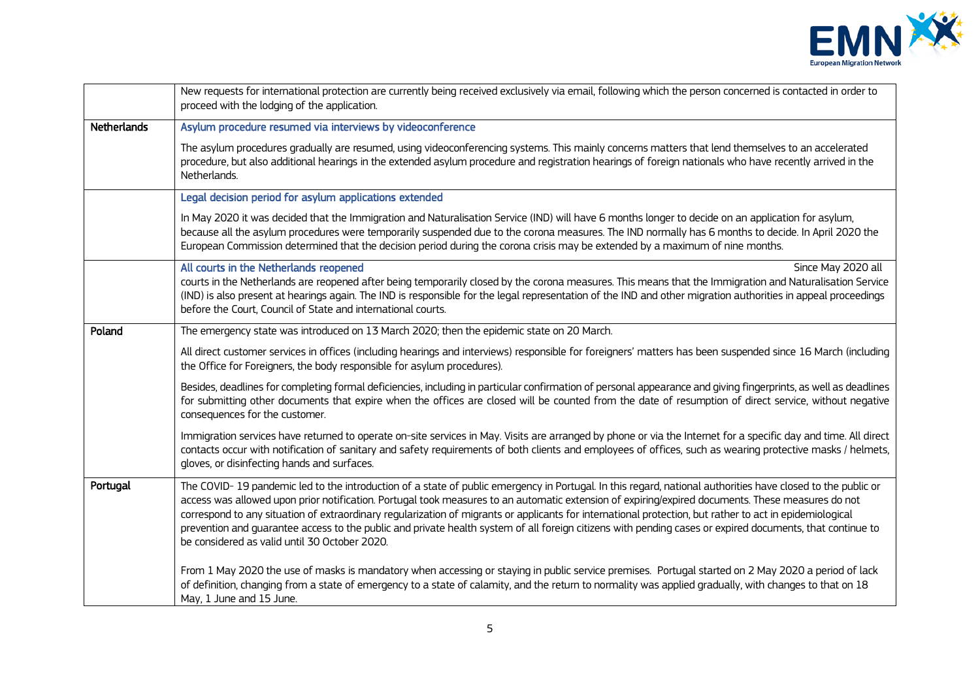

|                    | New requests for international protection are currently being received exclusively via email, following which the person concerned is contacted in order to<br>proceed with the lodging of the application.                                                                                                                                                                                                                                                                                                                                                                                                                                                                                |
|--------------------|--------------------------------------------------------------------------------------------------------------------------------------------------------------------------------------------------------------------------------------------------------------------------------------------------------------------------------------------------------------------------------------------------------------------------------------------------------------------------------------------------------------------------------------------------------------------------------------------------------------------------------------------------------------------------------------------|
| <b>Netherlands</b> | Asylum procedure resumed via interviews by videoconference                                                                                                                                                                                                                                                                                                                                                                                                                                                                                                                                                                                                                                 |
|                    | The asylum procedures gradually are resumed, using videoconferencing systems. This mainly concerns matters that lend themselves to an accelerated<br>procedure, but also additional hearings in the extended asylum procedure and registration hearings of foreign nationals who have recently arrived in the<br>Netherlands.                                                                                                                                                                                                                                                                                                                                                              |
|                    | Legal decision period for asylum applications extended                                                                                                                                                                                                                                                                                                                                                                                                                                                                                                                                                                                                                                     |
|                    | In May 2020 it was decided that the Immigration and Naturalisation Service (IND) will have 6 months longer to decide on an application for asylum,<br>because all the asylum procedures were temporarily suspended due to the corona measures. The IND normally has 6 months to decide. In April 2020 the<br>European Commission determined that the decision period during the corona crisis may be extended by a maximum of nine months.                                                                                                                                                                                                                                                 |
|                    | All courts in the Netherlands reopened<br>Since May 2020 all<br>courts in the Netherlands are reopened after being temporarily closed by the corona measures. This means that the Immigration and Naturalisation Service<br>(IND) is also present at hearings again. The IND is responsible for the legal representation of the IND and other migration authorities in appeal proceedings<br>before the Court, Council of State and international courts.                                                                                                                                                                                                                                  |
| Poland             | The emergency state was introduced on 13 March 2020; then the epidemic state on 20 March.                                                                                                                                                                                                                                                                                                                                                                                                                                                                                                                                                                                                  |
|                    | All direct customer services in offices (including hearings and interviews) responsible for foreigners' matters has been suspended since 16 March (including<br>the Office for Foreigners, the body responsible for asylum procedures).                                                                                                                                                                                                                                                                                                                                                                                                                                                    |
|                    | Besides, deadlines for completing formal deficiencies, including in particular confirmation of personal appearance and giving fingerprints, as well as deadlines<br>for submitting other documents that expire when the offices are closed will be counted from the date of resumption of direct service, without negative<br>consequences for the customer.                                                                                                                                                                                                                                                                                                                               |
|                    | Immigration services have returned to operate on-site services in May. Visits are arranged by phone or via the Internet for a specific day and time. All direct<br>contacts occur with notification of sanitary and safety requirements of both clients and employees of offices, such as wearing protective masks / helmets,<br>gloves, or disinfecting hands and surfaces.                                                                                                                                                                                                                                                                                                               |
| Portugal           | The COVID-19 pandemic led to the introduction of a state of public emergency in Portugal. In this regard, national authorities have closed to the public or<br>access was allowed upon prior notification. Portugal took measures to an automatic extension of expiring/expired documents. These measures do not<br>correspond to any situation of extraordinary regularization of migrants or applicants for international protection, but rather to act in epidemiological<br>prevention and quarantee access to the public and private health system of all foreign citizens with pending cases or expired documents, that continue to<br>be considered as valid until 30 October 2020. |
|                    | From 1 May 2020 the use of masks is mandatory when accessing or staying in public service premises. Portugal started on 2 May 2020 a period of lack<br>of definition, changing from a state of emergency to a state of calamity, and the return to normality was applied gradually, with changes to that on 18<br>May, 1 June and 15 June.                                                                                                                                                                                                                                                                                                                                                 |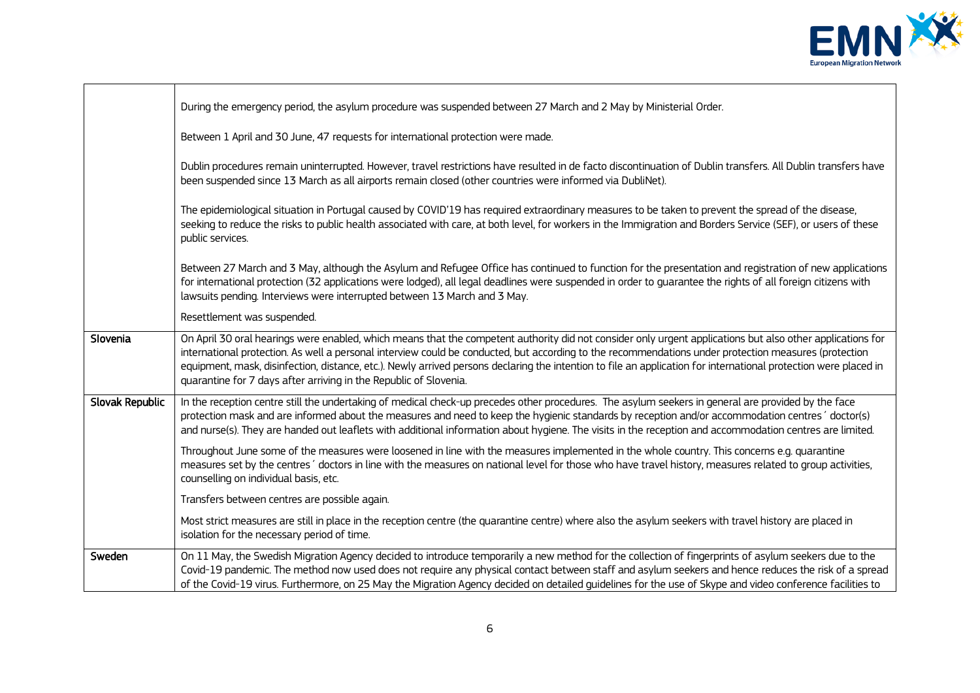

÷,

|                 | During the emergency period, the asylum procedure was suspended between 27 March and 2 May by Ministerial Order.                                                                                                                                                                                                                                                                                                                                                                                                                                             |
|-----------------|--------------------------------------------------------------------------------------------------------------------------------------------------------------------------------------------------------------------------------------------------------------------------------------------------------------------------------------------------------------------------------------------------------------------------------------------------------------------------------------------------------------------------------------------------------------|
|                 | Between 1 April and 30 June, 47 requests for international protection were made.                                                                                                                                                                                                                                                                                                                                                                                                                                                                             |
|                 | Dublin procedures remain uninterrupted. However, travel restrictions have resulted in de facto discontinuation of Dublin transfers. All Dublin transfers have<br>been suspended since 13 March as all airports remain closed (other countries were informed via DubliNet).                                                                                                                                                                                                                                                                                   |
|                 | The epidemiological situation in Portugal caused by COVID'19 has required extraordinary measures to be taken to prevent the spread of the disease,<br>seeking to reduce the risks to public health associated with care, at both level, for workers in the Immigration and Borders Service (SEF), or users of these<br>public services.                                                                                                                                                                                                                      |
|                 | Between 27 March and 3 May, although the Asylum and Refugee Office has continued to function for the presentation and registration of new applications<br>for international protection (32 applications were lodged), all legal deadlines were suspended in order to guarantee the rights of all foreign citizens with<br>lawsuits pending. Interviews were interrupted between 13 March and 3 May.                                                                                                                                                          |
|                 | Resettlement was suspended.                                                                                                                                                                                                                                                                                                                                                                                                                                                                                                                                  |
| Slovenia        | On April 30 oral hearings were enabled, which means that the competent authority did not consider only urgent applications but also other applications for<br>international protection. As well a personal interview could be conducted, but according to the recommendations under protection measures (protection<br>equipment, mask, disinfection, distance, etc.). Newly arrived persons declaring the intention to file an application for international protection were placed in<br>quarantine for 7 days after arriving in the Republic of Slovenia. |
| Slovak Republic | In the reception centre still the undertaking of medical check-up precedes other procedures. The asylum seekers in general are provided by the face<br>protection mask and are informed about the measures and need to keep the hygienic standards by reception and/or accommodation centres' doctor(s)<br>and nurse(s). They are handed out leaflets with additional information about hygiene. The visits in the reception and accommodation centres are limited.                                                                                          |
|                 | Throughout June some of the measures were loosened in line with the measures implemented in the whole country. This concerns e.g. quarantine<br>measures set by the centres' doctors in line with the measures on national level for those who have travel history, measures related to group activities,<br>counselling on individual basis, etc.                                                                                                                                                                                                           |
|                 | Transfers between centres are possible again.                                                                                                                                                                                                                                                                                                                                                                                                                                                                                                                |
|                 | Most strict measures are still in place in the reception centre (the quarantine centre) where also the asylum seekers with travel history are placed in<br>isolation for the necessary period of time.                                                                                                                                                                                                                                                                                                                                                       |
| Sweden          | On 11 May, the Swedish Migration Agency decided to introduce temporarily a new method for the collection of fingerprints of asylum seekers due to the<br>Covid-19 pandemic. The method now used does not require any physical contact between staff and asylum seekers and hence reduces the risk of a spread<br>of the Covid-19 virus. Furthermore, on 25 May the Migration Agency decided on detailed guidelines for the use of Skype and video conference facilities to                                                                                   |

 $\mathbf{r}$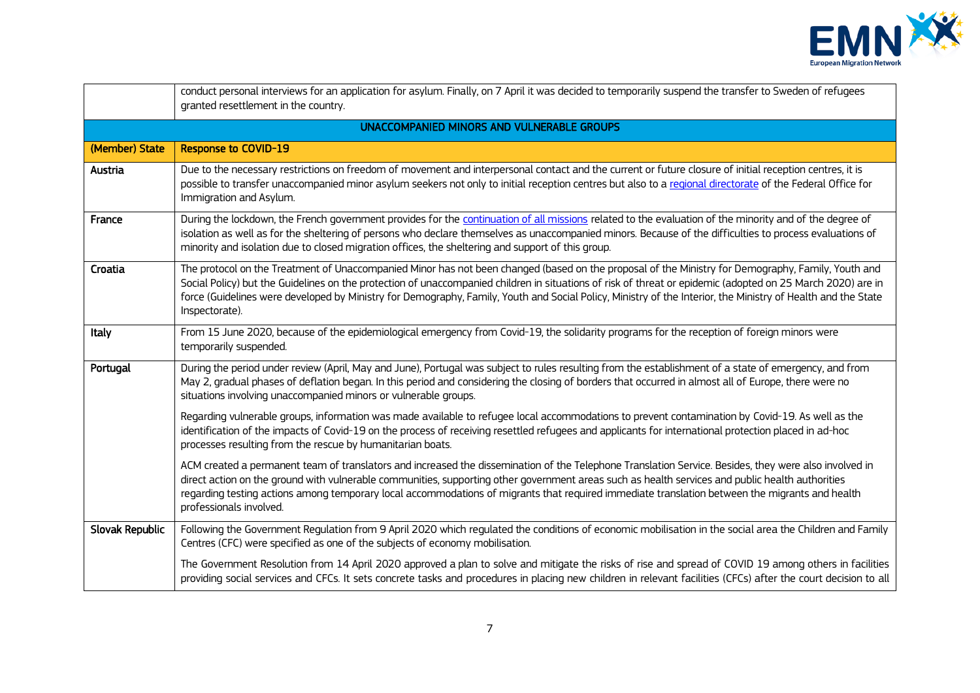

|                 | conduct personal interviews for an application for asylum. Finally, on 7 April it was decided to temporarily suspend the transfer to Sweden of refugees<br>granted resettlement in the country.                                                                                                                                                                                                                                                                                                     |
|-----------------|-----------------------------------------------------------------------------------------------------------------------------------------------------------------------------------------------------------------------------------------------------------------------------------------------------------------------------------------------------------------------------------------------------------------------------------------------------------------------------------------------------|
|                 | UNACCOMPANIED MINORS AND VULNERABLE GROUPS                                                                                                                                                                                                                                                                                                                                                                                                                                                          |
| (Member) State  | <b>Response to COVID-19</b>                                                                                                                                                                                                                                                                                                                                                                                                                                                                         |
| Austria         | Due to the necessary restrictions on freedom of movement and interpersonal contact and the current or future closure of initial reception centres, it is<br>possible to transfer unaccompanied minor asylum seekers not only to initial reception centres but also to a regional directorate of the Federal Office for<br>Immigration and Asylum.                                                                                                                                                   |
| France          | During the lockdown, the French government provides for the continuation of all missions related to the evaluation of the minority and of the degree of<br>isolation as well as for the sheltering of persons who declare themselves as unaccompanied minors. Because of the difficulties to process evaluations of<br>minority and isolation due to closed migration offices, the sheltering and support of this group.                                                                            |
| Croatia         | The protocol on the Treatment of Unaccompanied Minor has not been changed (based on the proposal of the Ministry for Demography, Family, Youth and<br>Social Policy) but the Guidelines on the protection of unaccompanied children in situations of risk of threat or epidemic (adopted on 25 March 2020) are in<br>force (Guidelines were developed by Ministry for Demography, Family, Youth and Social Policy, Ministry of the Interior, the Ministry of Health and the State<br>Inspectorate). |
| Italy           | From 15 June 2020, because of the epidemiological emergency from Covid-19, the solidarity programs for the reception of foreign minors were<br>temporarily suspended.                                                                                                                                                                                                                                                                                                                               |
| Portugal        | During the period under review (April, May and June), Portugal was subject to rules resulting from the establishment of a state of emergency, and from<br>May 2, gradual phases of deflation began. In this period and considering the closing of borders that occurred in almost all of Europe, there were no<br>situations involving unaccompanied minors or vulnerable groups.                                                                                                                   |
|                 | Regarding vulnerable groups, information was made available to refugee local accommodations to prevent contamination by Covid-19. As well as the<br>identification of the impacts of Covid-19 on the process of receiving resettled refugees and applicants for international protection placed in ad-hoc<br>processes resulting from the rescue by humanitarian boats.                                                                                                                             |
|                 | ACM created a permanent team of translators and increased the dissemination of the Telephone Translation Service. Besides, they were also involved in<br>direct action on the ground with vulnerable communities, supporting other government areas such as health services and public health authorities<br>regarding testing actions among temporary local accommodations of migrants that required immediate translation between the migrants and health<br>professionals involved.              |
| Slovak Republic | Following the Government Regulation from 9 April 2020 which regulated the conditions of economic mobilisation in the social area the Children and Family<br>Centres (CFC) were specified as one of the subjects of economy mobilisation.                                                                                                                                                                                                                                                            |
|                 | The Government Resolution from 14 April 2020 approved a plan to solve and mitigate the risks of rise and spread of COVID 19 among others in facilities<br>providing social services and CFCs. It sets concrete tasks and procedures in placing new children in relevant facilities (CFCs) after the court decision to all                                                                                                                                                                           |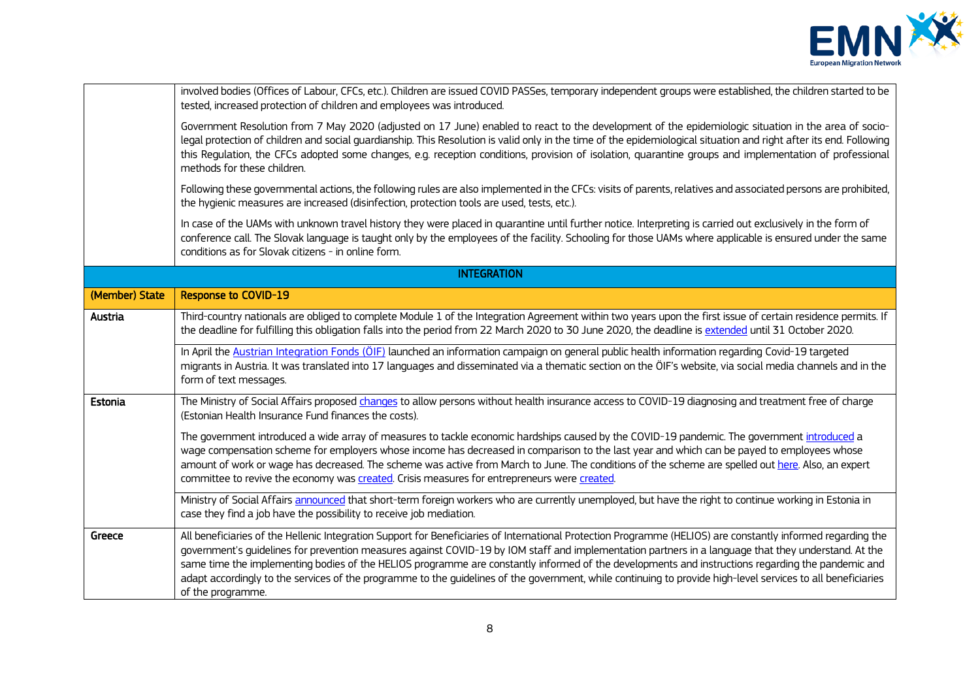

|                | involved bodies (Offices of Labour, CFCs, etc.). Children are issued COVID PASSes, temporary independent groups were established, the children started to be<br>tested, increased protection of children and employees was introduced.                                                                                                                                                                                                                                                                                                                                                                                                                         |
|----------------|----------------------------------------------------------------------------------------------------------------------------------------------------------------------------------------------------------------------------------------------------------------------------------------------------------------------------------------------------------------------------------------------------------------------------------------------------------------------------------------------------------------------------------------------------------------------------------------------------------------------------------------------------------------|
|                | Government Resolution from 7 May 2020 (adjusted on 17 June) enabled to react to the development of the epidemiologic situation in the area of socio-<br>legal protection of children and social guardianship. This Resolution is valid only in the time of the epidemiological situation and right after its end. Following<br>this Regulation, the CFCs adopted some changes, e.g. reception conditions, provision of isolation, quarantine groups and implementation of professional<br>methods for these children.                                                                                                                                          |
|                | Following these governmental actions, the following rules are also implemented in the CFCs: visits of parents, relatives and associated persons are prohibited,<br>the hygienic measures are increased (disinfection, protection tools are used, tests, etc.).                                                                                                                                                                                                                                                                                                                                                                                                 |
|                | In case of the UAMs with unknown travel history they were placed in quarantine until further notice. Interpreting is carried out exclusively in the form of<br>conference call. The Slovak language is taught only by the employees of the facility. Schooling for those UAMs where applicable is ensured under the same<br>conditions as for Slovak citizens - in online form.                                                                                                                                                                                                                                                                                |
|                | <b>INTEGRATION</b>                                                                                                                                                                                                                                                                                                                                                                                                                                                                                                                                                                                                                                             |
| (Member) State | <b>Response to COVID-19</b>                                                                                                                                                                                                                                                                                                                                                                                                                                                                                                                                                                                                                                    |
| Austria        | Third-country nationals are obliged to complete Module 1 of the Integration Agreement within two years upon the first issue of certain residence permits. If<br>the deadline for fulfilling this obligation falls into the period from 22 March 2020 to 30 June 2020, the deadline is extended until 31 October 2020.                                                                                                                                                                                                                                                                                                                                          |
|                | In April the Austrian Integration Fonds (ÖIF) launched an information campaign on general public health information regarding Covid-19 targeted<br>migrants in Austria. It was translated into 17 languages and disseminated via a thematic section on the ÖIF's website, via social media channels and in the<br>form of text messages.                                                                                                                                                                                                                                                                                                                       |
| Estonia        | The Ministry of Social Affairs proposed changes to allow persons without health insurance access to COVID-19 diagnosing and treatment free of charge<br>(Estonian Health Insurance Fund finances the costs).                                                                                                                                                                                                                                                                                                                                                                                                                                                   |
|                | The government introduced a wide array of measures to tackle economic hardships caused by the COVID-19 pandemic. The government introduced a<br>wage compensation scheme for employers whose income has decreased in comparison to the last year and which can be payed to employees whose<br>amount of work or wage has decreased. The scheme was active from March to June. The conditions of the scheme are spelled out here. Also, an expert<br>committee to revive the economy was created. Crisis measures for entrepreneurs were created.                                                                                                               |
|                | Ministry of Social Affairs announced that short-term foreign workers who are currently unemployed, but have the right to continue working in Estonia in<br>case they find a job have the possibility to receive job mediation.                                                                                                                                                                                                                                                                                                                                                                                                                                 |
| Greece         | All beneficiaries of the Hellenic Integration Support for Beneficiaries of International Protection Programme (HELIOS) are constantly informed regarding the<br>government's guidelines for prevention measures against COVID-19 by IOM staff and implementation partners in a language that they understand. At the<br>same time the implementing bodies of the HELIOS programme are constantly informed of the developments and instructions regarding the pandemic and<br>adapt accordingly to the services of the programme to the guidelines of the government, while continuing to provide high-level services to all beneficiaries<br>of the programme. |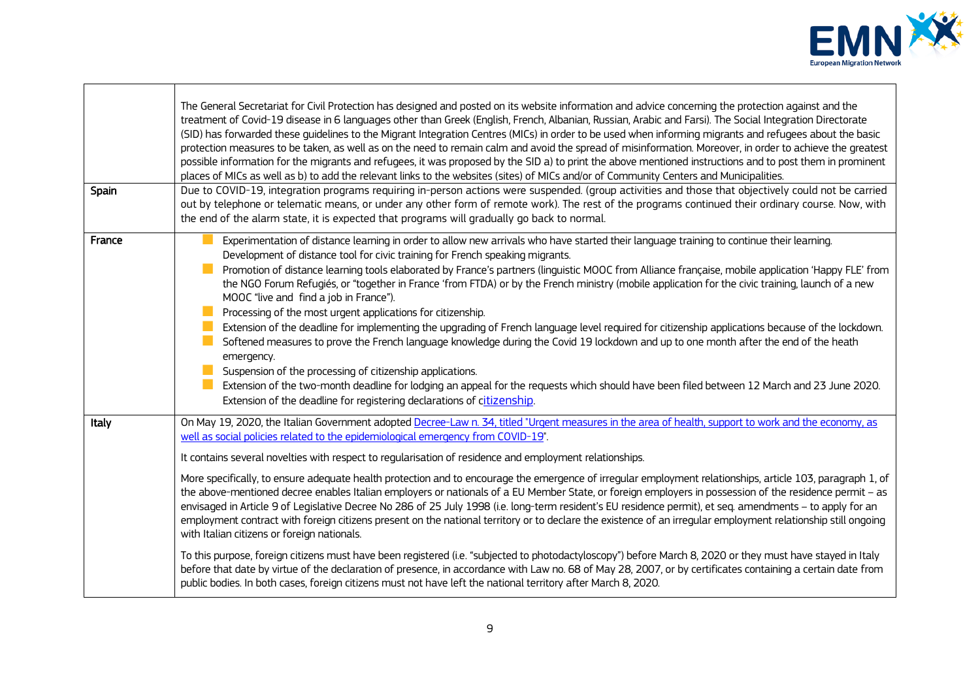

÷,

| Spain  | The General Secretariat for Civil Protection has designed and posted on its website information and advice concerning the protection against and the<br>treatment of Covid-19 disease in 6 languages other than Greek (English, French, Albanian, Russian, Arabic and Farsi). The Social Integration Directorate<br>(SID) has forwarded these guidelines to the Migrant Integration Centres (MICs) in order to be used when informing migrants and refugees about the basic<br>protection measures to be taken, as well as on the need to remain calm and avoid the spread of misinformation. Moreover, in order to achieve the greatest<br>possible information for the migrants and refugees, it was proposed by the SID a) to print the above mentioned instructions and to post them in prominent<br>places of MICs as well as b) to add the relevant links to the websites (sites) of MICs and/or of Community Centers and Municipalities.<br>Due to COVID-19, integration programs requiring in-person actions were suspended. (group activities and those that objectively could not be carried<br>out by telephone or telematic means, or under any other form of remote work). The rest of the programs continued their ordinary course. Now, with<br>the end of the alarm state, it is expected that programs will gradually go back to normal.                                                                                                                                               |
|--------|---------------------------------------------------------------------------------------------------------------------------------------------------------------------------------------------------------------------------------------------------------------------------------------------------------------------------------------------------------------------------------------------------------------------------------------------------------------------------------------------------------------------------------------------------------------------------------------------------------------------------------------------------------------------------------------------------------------------------------------------------------------------------------------------------------------------------------------------------------------------------------------------------------------------------------------------------------------------------------------------------------------------------------------------------------------------------------------------------------------------------------------------------------------------------------------------------------------------------------------------------------------------------------------------------------------------------------------------------------------------------------------------------------------------------------------------------------------------------------------------------------|
| France | Experimentation of distance learning in order to allow new arrivals who have started their language training to continue their learning.<br>Development of distance tool for civic training for French speaking migrants.<br>Promotion of distance learning tools elaborated by France's partners (linguistic MOOC from Alliance française, mobile application 'Happy FLE' from<br>the NGO Forum Refugiés, or "together in France 'from FTDA) or by the French ministry (mobile application for the civic training, launch of a new<br>MOOC "live and find a job in France").<br>Processing of the most urgent applications for citizenship.<br>Extension of the deadline for implementing the upgrading of French language level required for citizenship applications because of the lockdown.<br>a a<br>Softened measures to prove the French language knowledge during the Covid 19 lockdown and up to one month after the end of the heath<br>emergency.<br>Suspension of the processing of citizenship applications.<br>Extension of the two-month deadline for lodging an appeal for the requests which should have been filed between 12 March and 23 June 2020.<br>Extension of the deadline for registering declarations of citizenship.                                                                                                                                                                                                                                                      |
| Italy  | On May 19, 2020, the Italian Government adopted Decree-Law n. 34, titled "Urgent measures in the area of health, support to work and the economy, as<br>well as social policies related to the epidemiological emergency from COVID-19".<br>It contains several novelties with respect to regularisation of residence and employment relationships.<br>More specifically, to ensure adequate health protection and to encourage the emergence of irregular employment relationships, article 103, paragraph 1, of<br>the above-mentioned decree enables Italian employers or nationals of a EU Member State, or foreign employers in possession of the residence permit - as<br>envisaged in Article 9 of Legislative Decree No 286 of 25 July 1998 (i.e. long-term resident's EU residence permit), et seq. amendments - to apply for an<br>employment contract with foreign citizens present on the national territory or to declare the existence of an irregular employment relationship still ongoing<br>with Italian citizens or foreign nationals.<br>To this purpose, foreign citizens must have been registered (i.e. "subjected to photodactyloscopy") before March 8, 2020 or they must have stayed in Italy<br>before that date by virtue of the declaration of presence, in accordance with Law no. 68 of May 28, 2007, or by certificates containing a certain date from<br>public bodies. In both cases, foreign citizens must not have left the national territory after March 8, 2020. |

 $\mathbf{r}$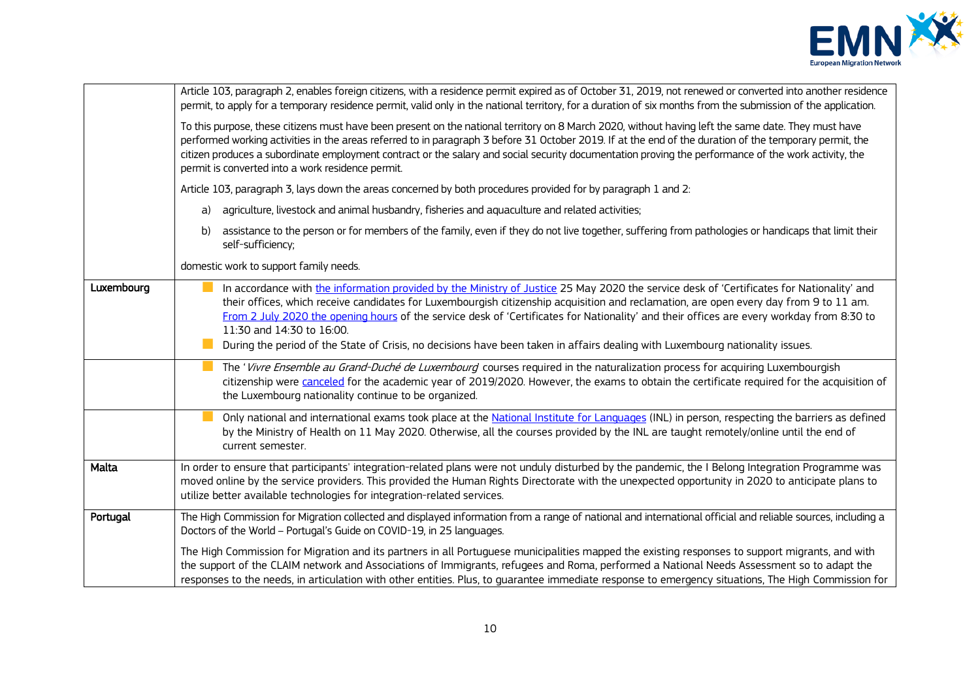

|            | Article 103, paragraph 2, enables foreign citizens, with a residence permit expired as of October 31, 2019, not renewed or converted into another residence                                                                                                                                                                                                                                                                                                                                                                 |
|------------|-----------------------------------------------------------------------------------------------------------------------------------------------------------------------------------------------------------------------------------------------------------------------------------------------------------------------------------------------------------------------------------------------------------------------------------------------------------------------------------------------------------------------------|
|            | permit, to apply for a temporary residence permit, valid only in the national territory, for a duration of six months from the submission of the application.                                                                                                                                                                                                                                                                                                                                                               |
|            | To this purpose, these citizens must have been present on the national territory on 8 March 2020, without having left the same date. They must have<br>performed working activities in the areas referred to in paragraph 3 before 31 October 2019. If at the end of the duration of the temporary permit, the<br>citizen produces a subordinate employment contract or the salary and social security documentation proving the performance of the work activity, the<br>permit is converted into a work residence permit. |
|            | Article 103, paragraph 3, lays down the areas concerned by both procedures provided for by paragraph 1 and 2:                                                                                                                                                                                                                                                                                                                                                                                                               |
|            | agriculture, livestock and animal husbandry, fisheries and aquaculture and related activities;<br>a)                                                                                                                                                                                                                                                                                                                                                                                                                        |
|            | assistance to the person or for members of the family, even if they do not live together, suffering from pathologies or handicaps that limit their<br>b)<br>self-sufficiency;                                                                                                                                                                                                                                                                                                                                               |
|            | domestic work to support family needs.                                                                                                                                                                                                                                                                                                                                                                                                                                                                                      |
| Luxembourg | In accordance with the information provided by the Ministry of Justice 25 May 2020 the service desk of 'Certificates for Nationality' and<br>their offices, which receive candidates for Luxembourgish citizenship acquisition and reclamation, are open every day from 9 to 11 am.<br>From 2 July 2020 the opening hours of the service desk of 'Certificates for Nationality' and their offices are every workday from 8:30 to<br>11:30 and 14:30 to 16:00.                                                               |
|            | During the period of the State of Crisis, no decisions have been taken in affairs dealing with Luxembourg nationality issues.                                                                                                                                                                                                                                                                                                                                                                                               |
|            | The 'Vivre Ensemble au Grand-Duché de Luxembourg courses required in the naturalization process for acquiring Luxembourgish<br>citizenship were canceled for the academic year of 2019/2020. However, the exams to obtain the certificate required for the acquisition of<br>the Luxembourg nationality continue to be organized.                                                                                                                                                                                           |
|            | Only national and international exams took place at the National Institute for Languages (INL) in person, respecting the barriers as defined<br>by the Ministry of Health on 11 May 2020. Otherwise, all the courses provided by the INL are taught remotely/online until the end of<br>current semester.                                                                                                                                                                                                                   |
| Malta      | In order to ensure that participants' integration-related plans were not unduly disturbed by the pandemic, the I Belong Integration Programme was<br>moved online by the service providers. This provided the Human Rights Directorate with the unexpected opportunity in 2020 to anticipate plans to<br>utilize better available technologies for integration-related services.                                                                                                                                            |
| Portugal   | The High Commission for Migration collected and displayed information from a range of national and international official and reliable sources, including a<br>Doctors of the World - Portugal's Guide on COVID-19, in 25 languages.                                                                                                                                                                                                                                                                                        |
|            | The High Commission for Migration and its partners in all Portuguese municipalities mapped the existing responses to support migrants, and with<br>the support of the CLAIM network and Associations of Immigrants, refugees and Roma, performed a National Needs Assessment so to adapt the<br>responses to the needs, in articulation with other entities. Plus, to guarantee immediate response to emergency situations, The High Commission for                                                                         |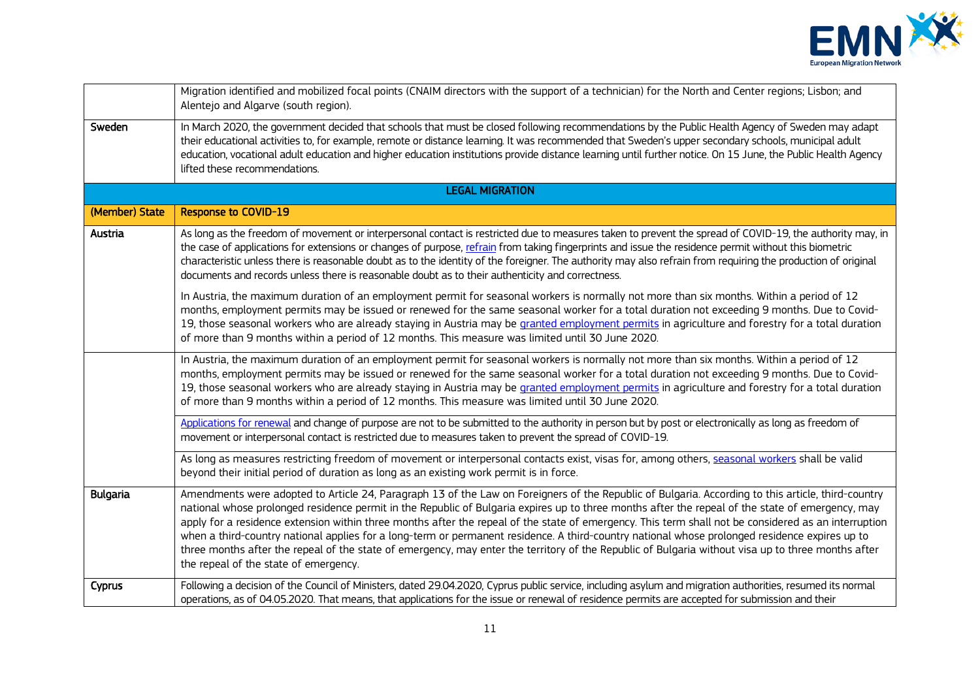

|                 | Migration identified and mobilized focal points (CNAIM directors with the support of a technician) for the North and Center regions; Lisbon; and<br>Alentejo and Algarve (south region).                                                                                                                                                                                                                                                                                                                                                                                                                                                                                                                                                                                                                        |
|-----------------|-----------------------------------------------------------------------------------------------------------------------------------------------------------------------------------------------------------------------------------------------------------------------------------------------------------------------------------------------------------------------------------------------------------------------------------------------------------------------------------------------------------------------------------------------------------------------------------------------------------------------------------------------------------------------------------------------------------------------------------------------------------------------------------------------------------------|
| Sweden          | In March 2020, the government decided that schools that must be closed following recommendations by the Public Health Agency of Sweden may adapt<br>their educational activities to, for example, remote or distance learning. It was recommended that Sweden's upper secondary schools, municipal adult<br>education, vocational adult education and higher education institutions provide distance learning until further notice. On 15 June, the Public Health Agency<br>lifted these recommendations.                                                                                                                                                                                                                                                                                                       |
|                 | <b>LEGAL MIGRATION</b>                                                                                                                                                                                                                                                                                                                                                                                                                                                                                                                                                                                                                                                                                                                                                                                          |
| (Member) State  | <b>Response to COVID-19</b>                                                                                                                                                                                                                                                                                                                                                                                                                                                                                                                                                                                                                                                                                                                                                                                     |
| Austria         | As long as the freedom of movement or interpersonal contact is restricted due to measures taken to prevent the spread of COVID-19, the authority may, in<br>the case of applications for extensions or changes of purpose, refrain from taking fingerprints and issue the residence permit without this biometric<br>characteristic unless there is reasonable doubt as to the identity of the foreigner. The authority may also refrain from requiring the production of original<br>documents and records unless there is reasonable doubt as to their authenticity and correctness.                                                                                                                                                                                                                          |
|                 | In Austria, the maximum duration of an employment permit for seasonal workers is normally not more than six months. Within a period of 12<br>months, employment permits may be issued or renewed for the same seasonal worker for a total duration not exceeding 9 months. Due to Covid-<br>19, those seasonal workers who are already staying in Austria may be granted employment permits in agriculture and forestry for a total duration<br>of more than 9 months within a period of 12 months. This measure was limited until 30 June 2020.                                                                                                                                                                                                                                                                |
|                 | In Austria, the maximum duration of an employment permit for seasonal workers is normally not more than six months. Within a period of 12<br>months, employment permits may be issued or renewed for the same seasonal worker for a total duration not exceeding 9 months. Due to Covid-<br>19, those seasonal workers who are already staying in Austria may be granted employment permits in agriculture and forestry for a total duration<br>of more than 9 months within a period of 12 months. This measure was limited until 30 June 2020.                                                                                                                                                                                                                                                                |
|                 | Applications for renewal and change of purpose are not to be submitted to the authority in person but by post or electronically as long as freedom of<br>movement or interpersonal contact is restricted due to measures taken to prevent the spread of COVID-19.                                                                                                                                                                                                                                                                                                                                                                                                                                                                                                                                               |
|                 | As long as measures restricting freedom of movement or interpersonal contacts exist, visas for, among others, seasonal workers shall be valid<br>beyond their initial period of duration as long as an existing work permit is in force.                                                                                                                                                                                                                                                                                                                                                                                                                                                                                                                                                                        |
| <b>Bulgaria</b> | Amendments were adopted to Article 24, Paragraph 13 of the Law on Foreigners of the Republic of Bulgaria. According to this article, third-country<br>national whose prolonged residence permit in the Republic of Bulgaria expires up to three months after the repeal of the state of emergency, may<br>apply for a residence extension within three months after the repeal of the state of emergency. This term shall not be considered as an interruption<br>when a third-country national applies for a long-term or permanent residence. A third-country national whose prolonged residence expires up to<br>three months after the repeal of the state of emergency, may enter the territory of the Republic of Bulgaria without visa up to three months after<br>the repeal of the state of emergency. |
| Cyprus          | Following a decision of the Council of Ministers, dated 29.04.2020, Cyprus public service, including asylum and migration authorities, resumed its normal<br>operations, as of 04.05.2020. That means, that applications for the issue or renewal of residence permits are accepted for submission and their                                                                                                                                                                                                                                                                                                                                                                                                                                                                                                    |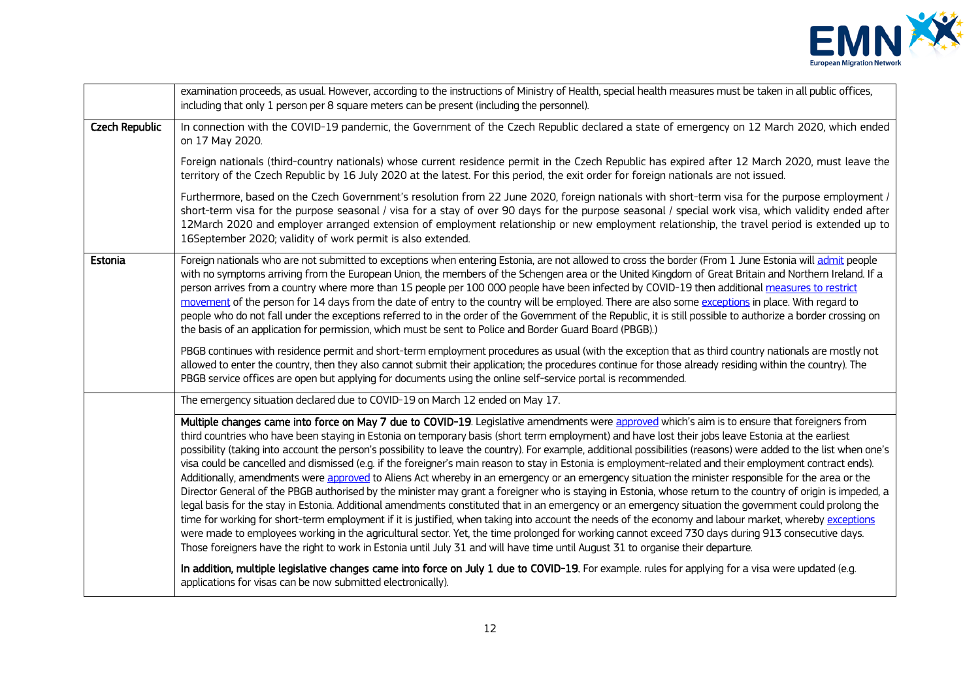

|                | examination proceeds, as usual. However, according to the instructions of Ministry of Health, special health measures must be taken in all public offices,<br>including that only 1 person per 8 square meters can be present (including the personnel).                                                                                                                                                                                                                                                                                                                                                                                                                                                                                                                                                                                                                                                                                                                                                                                                                                                                                                                                                                                                                                                                                                                                                                                                                                                                                                                   |
|----------------|----------------------------------------------------------------------------------------------------------------------------------------------------------------------------------------------------------------------------------------------------------------------------------------------------------------------------------------------------------------------------------------------------------------------------------------------------------------------------------------------------------------------------------------------------------------------------------------------------------------------------------------------------------------------------------------------------------------------------------------------------------------------------------------------------------------------------------------------------------------------------------------------------------------------------------------------------------------------------------------------------------------------------------------------------------------------------------------------------------------------------------------------------------------------------------------------------------------------------------------------------------------------------------------------------------------------------------------------------------------------------------------------------------------------------------------------------------------------------------------------------------------------------------------------------------------------------|
| Czech Republic | In connection with the COVID-19 pandemic, the Government of the Czech Republic declared a state of emergency on 12 March 2020, which ended<br>on 17 May 2020.                                                                                                                                                                                                                                                                                                                                                                                                                                                                                                                                                                                                                                                                                                                                                                                                                                                                                                                                                                                                                                                                                                                                                                                                                                                                                                                                                                                                              |
|                | Foreign nationals (third-country nationals) whose current residence permit in the Czech Republic has expired after 12 March 2020, must leave the<br>territory of the Czech Republic by 16 July 2020 at the latest. For this period, the exit order for foreign nationals are not issued.                                                                                                                                                                                                                                                                                                                                                                                                                                                                                                                                                                                                                                                                                                                                                                                                                                                                                                                                                                                                                                                                                                                                                                                                                                                                                   |
|                | Furthermore, based on the Czech Government's resolution from 22 June 2020, foreign nationals with short-term visa for the purpose employment /<br>short-term visa for the purpose seasonal / visa for a stay of over 90 days for the purpose seasonal / special work visa, which validity ended after<br>12March 2020 and employer arranged extension of employment relationship or new employment relationship, the travel period is extended up to<br>16September 2020; validity of work permit is also extended.                                                                                                                                                                                                                                                                                                                                                                                                                                                                                                                                                                                                                                                                                                                                                                                                                                                                                                                                                                                                                                                        |
| Estonia        | Foreign nationals who are not submitted to exceptions when entering Estonia, are not allowed to cross the border (From 1 June Estonia will admit people<br>with no symptoms arriving from the European Union, the members of the Schengen area or the United Kingdom of Great Britain and Northern Ireland. If a<br>person arrives from a country where more than 15 people per 100 000 people have been infected by COVID-19 then additional measures to restrict<br>movement of the person for 14 days from the date of entry to the country will be employed. There are also some exceptions in place. With regard to<br>people who do not fall under the exceptions referred to in the order of the Government of the Republic, it is still possible to authorize a border crossing on<br>the basis of an application for permission, which must be sent to Police and Border Guard Board (PBGB).)                                                                                                                                                                                                                                                                                                                                                                                                                                                                                                                                                                                                                                                                     |
|                | PBGB continues with residence permit and short-term employment procedures as usual (with the exception that as third country nationals are mostly not<br>allowed to enter the country, then they also cannot submit their application; the procedures continue for those already residing within the country). The<br>PBGB service offices are open but applying for documents using the online self-service portal is recommended.                                                                                                                                                                                                                                                                                                                                                                                                                                                                                                                                                                                                                                                                                                                                                                                                                                                                                                                                                                                                                                                                                                                                        |
|                | The emergency situation declared due to COVID-19 on March 12 ended on May 17.                                                                                                                                                                                                                                                                                                                                                                                                                                                                                                                                                                                                                                                                                                                                                                                                                                                                                                                                                                                                                                                                                                                                                                                                                                                                                                                                                                                                                                                                                              |
|                | Multiple changes came into force on May 7 due to COVID-19. Legislative amendments were approved which's aim is to ensure that foreigners from<br>third countries who have been staying in Estonia on temporary basis (short term employment) and have lost their jobs leave Estonia at the earliest<br>possibility (taking into account the person's possibility to leave the country). For example, additional possibilities (reasons) were added to the list when one's<br>visa could be cancelled and dismissed (e.g. if the foreigner's main reason to stay in Estonia is employment-related and their employment contract ends).<br>Additionally, amendments were approved to Aliens Act whereby in an emergency or an emergency situation the minister responsible for the area or the<br>Director General of the PBGB authorised by the minister may grant a foreigner who is staying in Estonia, whose return to the country of origin is impeded, a<br>legal basis for the stay in Estonia. Additional amendments constituted that in an emergency or an emergency situation the government could prolong the<br>time for working for short-term employment if it is justified, when taking into account the needs of the economy and labour market, whereby exceptions<br>were made to employees working in the agricultural sector. Yet, the time prolonged for working cannot exceed 730 days during 913 consecutive days.<br>Those foreigners have the right to work in Estonia until July 31 and will have time until August 31 to organise their departure. |
|                | In addition, multiple legislative changes came into force on July 1 due to COVID-19. For example, rules for applying for a visa were updated (e.g.<br>applications for visas can be now submitted electronically).                                                                                                                                                                                                                                                                                                                                                                                                                                                                                                                                                                                                                                                                                                                                                                                                                                                                                                                                                                                                                                                                                                                                                                                                                                                                                                                                                         |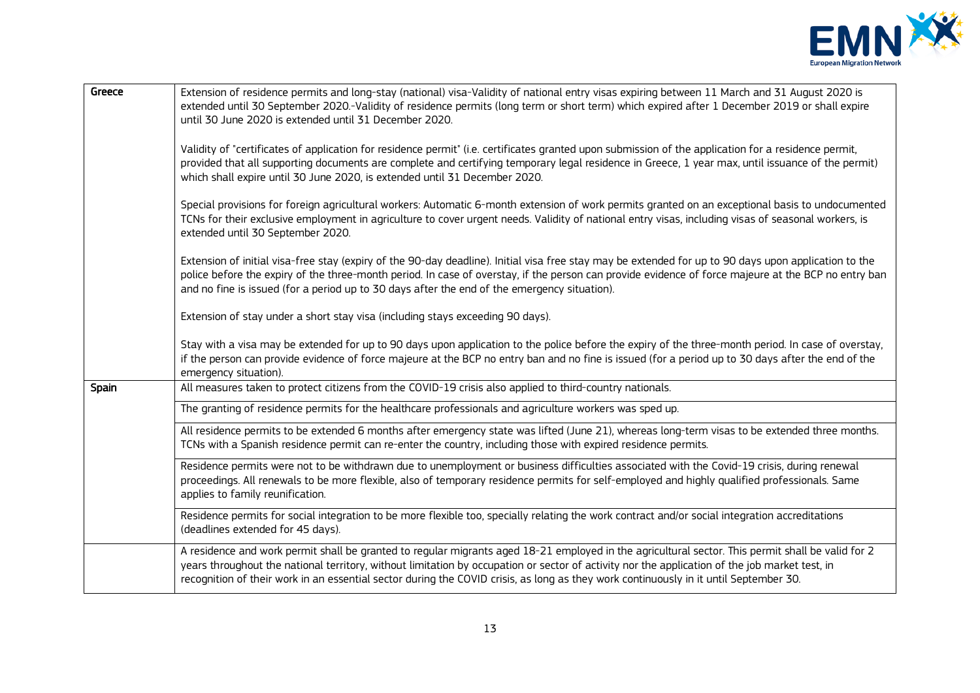

| Greece | Extension of residence permits and long-stay (national) visa-Validity of national entry visas expiring between 11 March and 31 August 2020 is<br>extended until 30 September 2020.-Validity of residence permits (long term or short term) which expired after 1 December 2019 or shall expire<br>until 30 June 2020 is extended until 31 December 2020.                                                                                     |
|--------|----------------------------------------------------------------------------------------------------------------------------------------------------------------------------------------------------------------------------------------------------------------------------------------------------------------------------------------------------------------------------------------------------------------------------------------------|
|        | Validity of "certificates of application for residence permit" (i.e. certificates granted upon submission of the application for a residence permit,<br>provided that all supporting documents are complete and certifying temporary legal residence in Greece, 1 year max, until issuance of the permit)<br>which shall expire until 30 June 2020, is extended until 31 December 2020.                                                      |
|        | Special provisions for foreign agricultural workers: Automatic 6-month extension of work permits granted on an exceptional basis to undocumented<br>TCNs for their exclusive employment in agriculture to cover urgent needs. Validity of national entry visas, including visas of seasonal workers, is<br>extended until 30 September 2020.                                                                                                 |
|        | Extension of initial visa-free stay (expiry of the 90-day deadline). Initial visa free stay may be extended for up to 90 days upon application to the<br>police before the expiry of the three-month period. In case of overstay, if the person can provide evidence of force majeure at the BCP no entry ban<br>and no fine is issued (for a period up to 30 days after the end of the emergency situation).                                |
|        | Extension of stay under a short stay visa (including stays exceeding 90 days).                                                                                                                                                                                                                                                                                                                                                               |
|        | Stay with a visa may be extended for up to 90 days upon application to the police before the expiry of the three-month period. In case of overstay,<br>if the person can provide evidence of force majeure at the BCP no entry ban and no fine is issued (for a period up to 30 days after the end of the<br>emergency situation).                                                                                                           |
| Spain  | All measures taken to protect citizens from the COVID-19 crisis also applied to third-country nationals.                                                                                                                                                                                                                                                                                                                                     |
|        | The granting of residence permits for the healthcare professionals and agriculture workers was sped up.                                                                                                                                                                                                                                                                                                                                      |
|        | All residence permits to be extended 6 months after emergency state was lifted (June 21), whereas long-term visas to be extended three months.<br>TCNs with a Spanish residence permit can re-enter the country, including those with expired residence permits.                                                                                                                                                                             |
|        | Residence permits were not to be withdrawn due to unemployment or business difficulties associated with the Covid-19 crisis, during renewal<br>proceedings. All renewals to be more flexible, also of temporary residence permits for self-employed and highly qualified professionals. Same<br>applies to family reunification.                                                                                                             |
|        | Residence permits for social integration to be more flexible too, specially relating the work contract and/or social integration accreditations<br>(deadlines extended for 45 days).                                                                                                                                                                                                                                                         |
|        | A residence and work permit shall be granted to regular migrants aged 18-21 employed in the agricultural sector. This permit shall be valid for 2<br>years throughout the national territory, without limitation by occupation or sector of activity nor the application of the job market test, in<br>recognition of their work in an essential sector during the COVID crisis, as long as they work continuously in it until September 30. |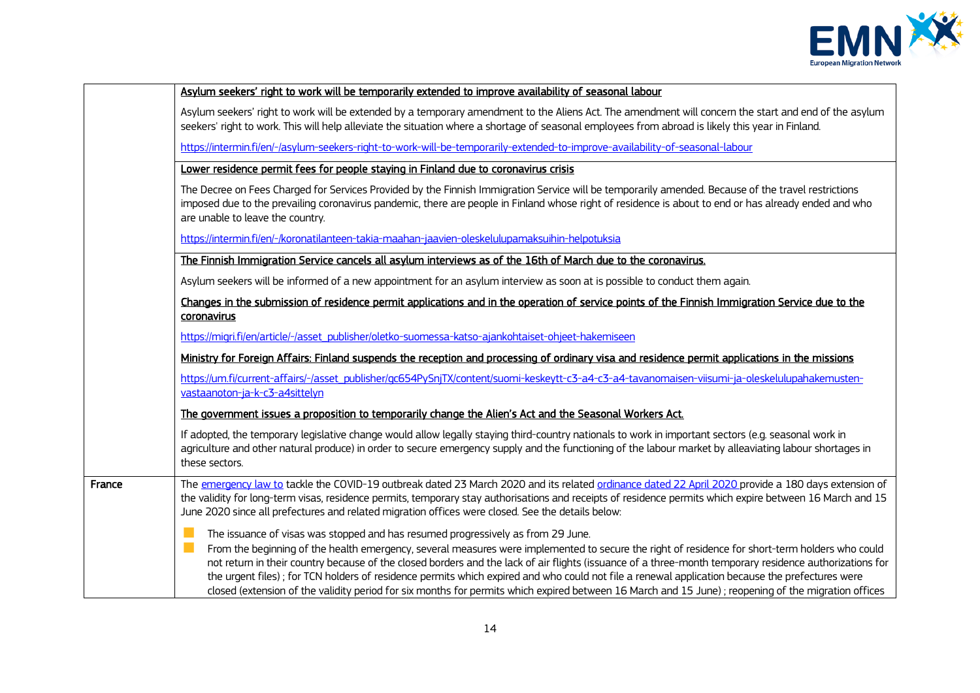

|        | Asylum seekers' right to work will be temporarily extended to improve availability of seasonal labour                                                                                                                                                                                                                                                                                                                                                                                                                                                                                                                                                                                                          |
|--------|----------------------------------------------------------------------------------------------------------------------------------------------------------------------------------------------------------------------------------------------------------------------------------------------------------------------------------------------------------------------------------------------------------------------------------------------------------------------------------------------------------------------------------------------------------------------------------------------------------------------------------------------------------------------------------------------------------------|
|        | Asylum seekers' right to work will be extended by a temporary amendment to the Aliens Act. The amendment will concern the start and end of the asylum<br>seekers' right to work. This will help alleviate the situation where a shortage of seasonal employees from abroad is likely this year in Finland.                                                                                                                                                                                                                                                                                                                                                                                                     |
|        | https://intermin.fi/en/-/asylum-seekers-right-to-work-will-be-temporarily-extended-to-improve-availability-of-seasonal-labour                                                                                                                                                                                                                                                                                                                                                                                                                                                                                                                                                                                  |
|        | Lower residence permit fees for people staying in Finland due to coronavirus crisis                                                                                                                                                                                                                                                                                                                                                                                                                                                                                                                                                                                                                            |
|        | The Decree on Fees Charged for Services Provided by the Finnish Immigration Service will be temporarily amended. Because of the travel restrictions<br>imposed due to the prevailing coronavirus pandemic, there are people in Finland whose right of residence is about to end or has already ended and who<br>are unable to leave the country.                                                                                                                                                                                                                                                                                                                                                               |
|        | https://intermin.fi/en/-/koronatilanteen-takia-maahan-jaavien-oleskelulupamaksuihin-helpotuksia                                                                                                                                                                                                                                                                                                                                                                                                                                                                                                                                                                                                                |
|        | The Finnish Immigration Service cancels all asylum interviews as of the 16th of March due to the coronavirus.                                                                                                                                                                                                                                                                                                                                                                                                                                                                                                                                                                                                  |
|        | Asylum seekers will be informed of a new appointment for an asylum interview as soon at is possible to conduct them again.                                                                                                                                                                                                                                                                                                                                                                                                                                                                                                                                                                                     |
|        | Changes in the submission of residence permit applications and in the operation of service points of the Finnish Immigration Service due to the<br>coronavirus                                                                                                                                                                                                                                                                                                                                                                                                                                                                                                                                                 |
|        | https://migri.fi/en/article/-/asset_publisher/oletko-suomessa-katso-ajankohtaiset-ohjeet-hakemiseen                                                                                                                                                                                                                                                                                                                                                                                                                                                                                                                                                                                                            |
|        | Ministry for Foreign Affairs: Finland suspends the reception and processing of ordinary visa and residence permit applications in the missions                                                                                                                                                                                                                                                                                                                                                                                                                                                                                                                                                                 |
|        | https://um.fi/current-affairs/-/asset_publisher/gc654PySnjTX/content/suomi-keskeytt-c3-a4-c3-a4-tavanomaisen-viisumi-ja-oleskelulupahakemusten-                                                                                                                                                                                                                                                                                                                                                                                                                                                                                                                                                                |
|        | vastaanoton-ja-k-c3-a4sittelyn                                                                                                                                                                                                                                                                                                                                                                                                                                                                                                                                                                                                                                                                                 |
|        | The government issues a proposition to temporarily change the Alien's Act and the Seasonal Workers Act.                                                                                                                                                                                                                                                                                                                                                                                                                                                                                                                                                                                                        |
|        | If adopted, the temporary legislative change would allow legally staying third-country nationals to work in important sectors (e.g. seasonal work in<br>agriculture and other natural produce) in order to secure emergency supply and the functioning of the labour market by alleaviating labour shortages in<br>these sectors.                                                                                                                                                                                                                                                                                                                                                                              |
| France | The emergency law to tackle the COVID-19 outbreak dated 23 March 2020 and its related ordinance dated 22 April 2020 provide a 180 days extension of<br>the validity for long-term visas, residence permits, temporary stay authorisations and receipts of residence permits which expire between 16 March and 15<br>June 2020 since all prefectures and related migration offices were closed. See the details below:                                                                                                                                                                                                                                                                                          |
|        | M.<br>The issuance of visas was stopped and has resumed progressively as from 29 June.<br>From the beginning of the health emergency, several measures were implemented to secure the right of residence for short-term holders who could<br>not return in their country because of the closed borders and the lack of air flights (issuance of a three-month temporary residence authorizations for<br>the urgent files); for TCN holders of residence permits which expired and who could not file a renewal application because the prefectures were<br>closed (extension of the validity period for six months for permits which expired between 16 March and 15 June); reopening of the migration offices |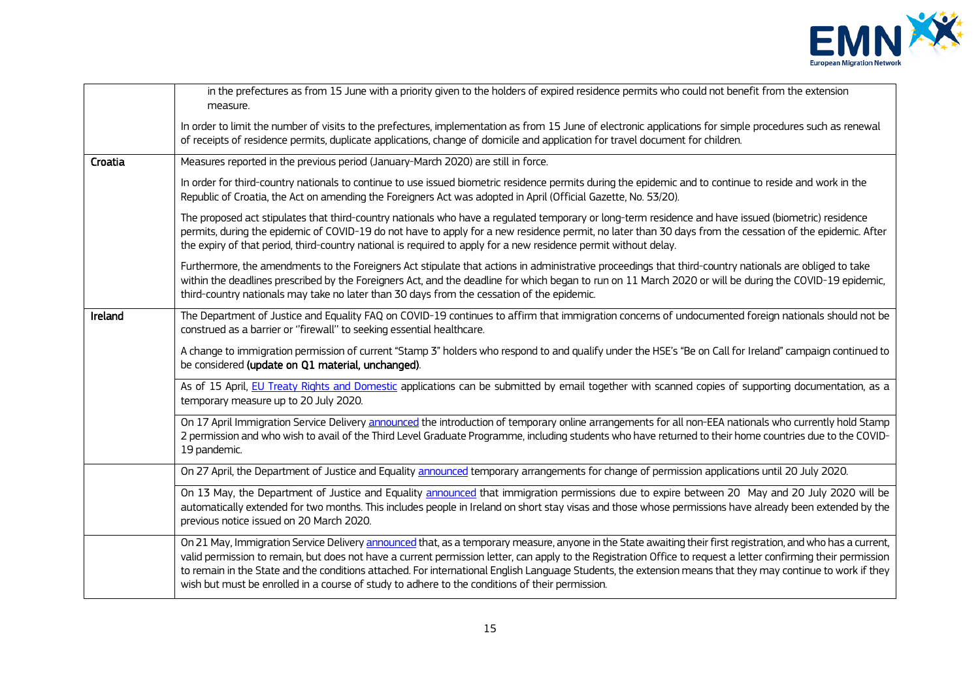

|         | in the prefectures as from 15 June with a priority given to the holders of expired residence permits who could not benefit from the extension<br>measure.                                                                                                                                                                                                                                                                                                                                                                                                                                          |
|---------|----------------------------------------------------------------------------------------------------------------------------------------------------------------------------------------------------------------------------------------------------------------------------------------------------------------------------------------------------------------------------------------------------------------------------------------------------------------------------------------------------------------------------------------------------------------------------------------------------|
|         | In order to limit the number of visits to the prefectures, implementation as from 15 June of electronic applications for simple procedures such as renewal<br>of receipts of residence permits, duplicate applications, change of domicile and application for travel document for children.                                                                                                                                                                                                                                                                                                       |
| Croatia | Measures reported in the previous period (January-March 2020) are still in force.                                                                                                                                                                                                                                                                                                                                                                                                                                                                                                                  |
|         | In order for third-country nationals to continue to use issued biometric residence permits during the epidemic and to continue to reside and work in the<br>Republic of Croatia, the Act on amending the Foreigners Act was adopted in April (Official Gazette, No. 53/20).                                                                                                                                                                                                                                                                                                                        |
|         | The proposed act stipulates that third-country nationals who have a regulated temporary or long-term residence and have issued (biometric) residence<br>permits, during the epidemic of COVID-19 do not have to apply for a new residence permit, no later than 30 days from the cessation of the epidemic. After<br>the expiry of that period, third-country national is required to apply for a new residence permit without delay.                                                                                                                                                              |
|         | Furthermore, the amendments to the Foreigners Act stipulate that actions in administrative proceedings that third-country nationals are obliged to take<br>within the deadlines prescribed by the Foreigners Act, and the deadline for which began to run on 11 March 2020 or will be during the COVID-19 epidemic,<br>third-country nationals may take no later than 30 days from the cessation of the epidemic.                                                                                                                                                                                  |
| Ireland | The Department of Justice and Equality FAQ on COVID-19 continues to affirm that immigration concerns of undocumented foreign nationals should not be<br>construed as a barrier or "firewall" to seeking essential healthcare.                                                                                                                                                                                                                                                                                                                                                                      |
|         | A change to immigration permission of current "Stamp 3" holders who respond to and qualify under the HSE's "Be on Call for Ireland" campaign continued to<br>be considered (update on Q1 material, unchanged).                                                                                                                                                                                                                                                                                                                                                                                     |
|         | As of 15 April, EU Treaty Rights and Domestic applications can be submitted by email together with scanned copies of supporting documentation, as a<br>temporary measure up to 20 July 2020.                                                                                                                                                                                                                                                                                                                                                                                                       |
|         | On 17 April Immigration Service Delivery announced the introduction of temporary online arrangements for all non-EEA nationals who currently hold Stamp<br>2 permission and who wish to avail of the Third Level Graduate Programme, including students who have returned to their home countries due to the COVID-<br>19 pandemic.                                                                                                                                                                                                                                                                |
|         | On 27 April, the Department of Justice and Equality announced temporary arrangements for change of permission applications until 20 July 2020.                                                                                                                                                                                                                                                                                                                                                                                                                                                     |
|         | On 13 May, the Department of Justice and Equality announced that immigration permissions due to expire between 20 May and 20 July 2020 will be<br>automatically extended for two months. This includes people in Ireland on short stay visas and those whose permissions have already been extended by the<br>previous notice issued on 20 March 2020.                                                                                                                                                                                                                                             |
|         | On 21 May, Immigration Service Delivery announced that, as a temporary measure, anyone in the State awaiting their first registration, and who has a current,<br>valid permission to remain, but does not have a current permission letter, can apply to the Registration Office to request a letter confirming their permission<br>to remain in the State and the conditions attached. For international English Language Students, the extension means that they may continue to work if they<br>wish but must be enrolled in a course of study to adhere to the conditions of their permission. |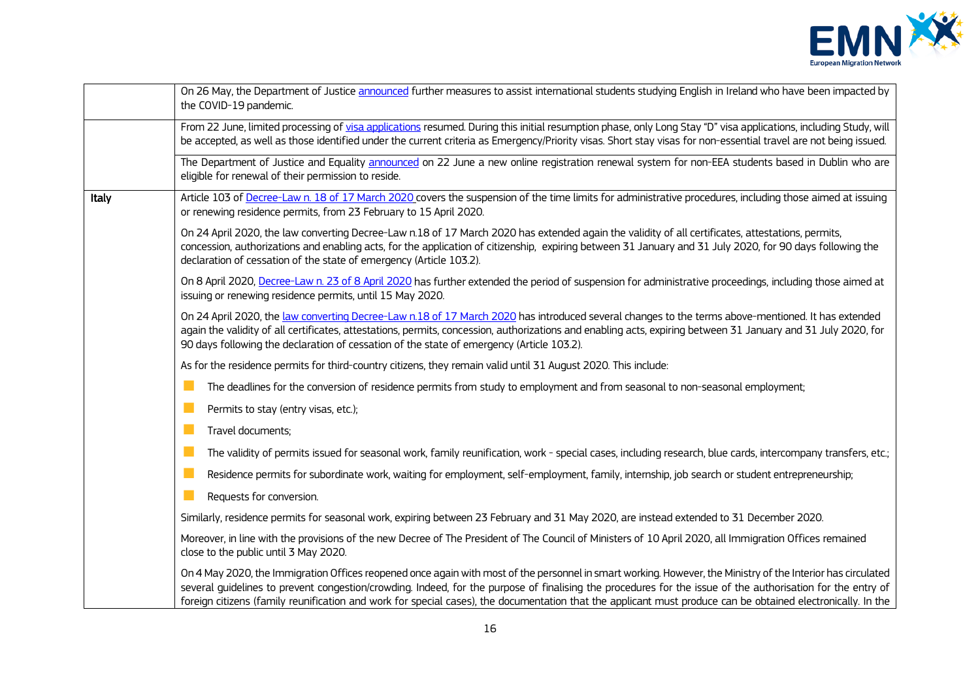

|       | On 26 May, the Department of Justice announced further measures to assist international students studying English in Ireland who have been impacted by<br>the COVID-19 pandemic.                                                                                                                                                                                                                                                                                                            |
|-------|---------------------------------------------------------------------------------------------------------------------------------------------------------------------------------------------------------------------------------------------------------------------------------------------------------------------------------------------------------------------------------------------------------------------------------------------------------------------------------------------|
|       | From 22 June, limited processing of visa applications resumed. During this initial resumption phase, only Long Stay "D" visa applications, including Study, will<br>be accepted, as well as those identified under the current criteria as Emergency/Priority visas. Short stay visas for non-essential travel are not being issued.                                                                                                                                                        |
|       | The Department of Justice and Equality announced on 22 June a new online registration renewal system for non-EEA students based in Dublin who are<br>eligible for renewal of their permission to reside.                                                                                                                                                                                                                                                                                    |
| Italy | Article 103 of Decree-Law n. 18 of 17 March 2020 covers the suspension of the time limits for administrative procedures, including those aimed at issuing<br>or renewing residence permits, from 23 February to 15 April 2020.                                                                                                                                                                                                                                                              |
|       | On 24 April 2020, the law converting Decree-Law n.18 of 17 March 2020 has extended again the validity of all certificates, attestations, permits,<br>concession, authorizations and enabling acts, for the application of citizenship, expiring between 31 January and 31 July 2020, for 90 days following the<br>declaration of cessation of the state of emergency (Article 103.2).                                                                                                       |
|       | On 8 April 2020, Decree-Law n. 23 of 8 April 2020 has further extended the period of suspension for administrative proceedings, including those aimed at<br>issuing or renewing residence permits, until 15 May 2020.                                                                                                                                                                                                                                                                       |
|       | On 24 April 2020, the law converting Decree-Law n.18 of 17 March 2020 has introduced several changes to the terms above-mentioned. It has extended<br>again the validity of all certificates, attestations, permits, concession, authorizations and enabling acts, expiring between 31 January and 31 July 2020, for<br>90 days following the declaration of cessation of the state of emergency (Article 103.2).                                                                           |
|       | As for the residence permits for third-country citizens, they remain valid until 31 August 2020. This include:                                                                                                                                                                                                                                                                                                                                                                              |
|       | The deadlines for the conversion of residence permits from study to employment and from seasonal to non-seasonal employment;                                                                                                                                                                                                                                                                                                                                                                |
|       | Permits to stay (entry visas, etc.);                                                                                                                                                                                                                                                                                                                                                                                                                                                        |
|       | Travel documents;                                                                                                                                                                                                                                                                                                                                                                                                                                                                           |
|       | ×<br>The validity of permits issued for seasonal work, family reunification, work - special cases, including research, blue cards, intercompany transfers, etc.;                                                                                                                                                                                                                                                                                                                            |
|       | Residence permits for subordinate work, waiting for employment, self-employment, family, internship, job search or student entrepreneurship;                                                                                                                                                                                                                                                                                                                                                |
|       | Requests for conversion.                                                                                                                                                                                                                                                                                                                                                                                                                                                                    |
|       | Similarly, residence permits for seasonal work, expiring between 23 February and 31 May 2020, are instead extended to 31 December 2020.                                                                                                                                                                                                                                                                                                                                                     |
|       | Moreover, in line with the provisions of the new Decree of The President of The Council of Ministers of 10 April 2020, all Immigration Offices remained<br>close to the public until 3 May 2020.                                                                                                                                                                                                                                                                                            |
|       | On 4 May 2020, the Immigration Offices reopened once again with most of the personnel in smart working. However, the Ministry of the Interior has circulated<br>several quidelines to prevent congestion/crowding. Indeed, for the purpose of finalising the procedures for the issue of the authorisation for the entry of<br>foreign citizens (family reunification and work for special cases), the documentation that the applicant must produce can be obtained electronically. In the |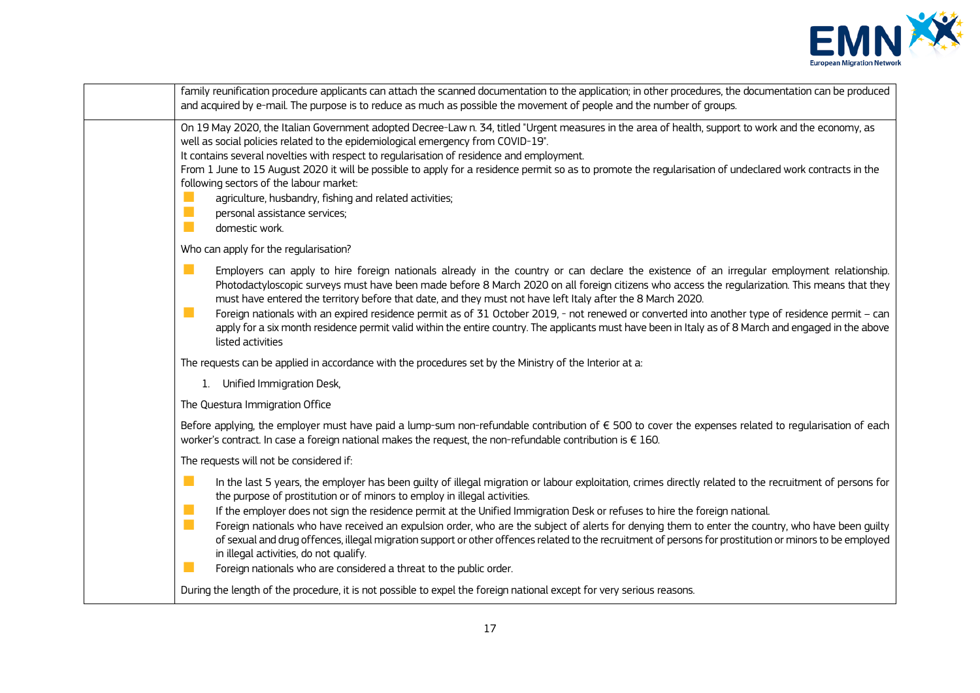

|                                 | family reunification procedure applicants can attach the scanned documentation to the application; in other procedures, the documentation can be produced<br>and acquired by e-mail. The purpose is to reduce as much as possible the movement of people and the number of groups.                                                                                                                                                                                                                                                                                                                                                                                                                                                                                                                    |
|---------------------------------|-------------------------------------------------------------------------------------------------------------------------------------------------------------------------------------------------------------------------------------------------------------------------------------------------------------------------------------------------------------------------------------------------------------------------------------------------------------------------------------------------------------------------------------------------------------------------------------------------------------------------------------------------------------------------------------------------------------------------------------------------------------------------------------------------------|
| L.<br>$\mathbb{R}^n$<br>n.      | On 19 May 2020, the Italian Government adopted Decree-Law n. 34, titled "Urgent measures in the area of health, support to work and the economy, as<br>well as social policies related to the epidemiological emergency from COVID-19".<br>It contains several novelties with respect to regularisation of residence and employment.<br>From 1 June to 15 August 2020 it will be possible to apply for a residence permit so as to promote the regularisation of undeclared work contracts in the<br>following sectors of the labour market:<br>agriculture, husbandry, fishing and related activities;<br>personal assistance services;<br>domestic work.                                                                                                                                            |
|                                 | Who can apply for the regularisation?                                                                                                                                                                                                                                                                                                                                                                                                                                                                                                                                                                                                                                                                                                                                                                 |
| m.<br>a a                       | Employers can apply to hire foreign nationals already in the country or can declare the existence of an irregular employment relationship.<br>Photodactyloscopic surveys must have been made before 8 March 2020 on all foreign citizens who access the regularization. This means that they<br>must have entered the territory before that date, and they must not have left Italy after the 8 March 2020.<br>Foreign nationals with an expired residence permit as of 31 October 2019, - not renewed or converted into another type of residence permit - can<br>apply for a six month residence permit valid within the entire country. The applicants must have been in Italy as of 8 March and engaged in the above<br>listed activities                                                         |
|                                 | The requests can be applied in accordance with the procedures set by the Ministry of the Interior at a:                                                                                                                                                                                                                                                                                                                                                                                                                                                                                                                                                                                                                                                                                               |
|                                 | 1. Unified Immigration Desk,                                                                                                                                                                                                                                                                                                                                                                                                                                                                                                                                                                                                                                                                                                                                                                          |
|                                 | The Questura Immigration Office                                                                                                                                                                                                                                                                                                                                                                                                                                                                                                                                                                                                                                                                                                                                                                       |
|                                 | Before applying, the employer must have paid a lump-sum non-refundable contribution of € 500 to cover the expenses related to regularisation of each<br>worker's contract. In case a foreign national makes the request, the non-refundable contribution is $\epsilon$ 160.                                                                                                                                                                                                                                                                                                                                                                                                                                                                                                                           |
|                                 | The requests will not be considered if:                                                                                                                                                                                                                                                                                                                                                                                                                                                                                                                                                                                                                                                                                                                                                               |
| П<br>n.<br>$\blacksquare$<br>L. | In the last 5 years, the employer has been guilty of illegal migration or labour exploitation, crimes directly related to the recruitment of persons for<br>the purpose of prostitution or of minors to employ in illegal activities.<br>If the employer does not sign the residence permit at the Unified Immigration Desk or refuses to hire the foreign national.<br>Foreign nationals who have received an expulsion order, who are the subject of alerts for denying them to enter the country, who have been quilty<br>of sexual and drug offences, illegal migration support or other offences related to the recruitment of persons for prostitution or minors to be employed<br>in illegal activities, do not qualify.<br>Foreign nationals who are considered a threat to the public order. |
|                                 | During the length of the procedure, it is not possible to expel the foreign national except for very serious reasons.                                                                                                                                                                                                                                                                                                                                                                                                                                                                                                                                                                                                                                                                                 |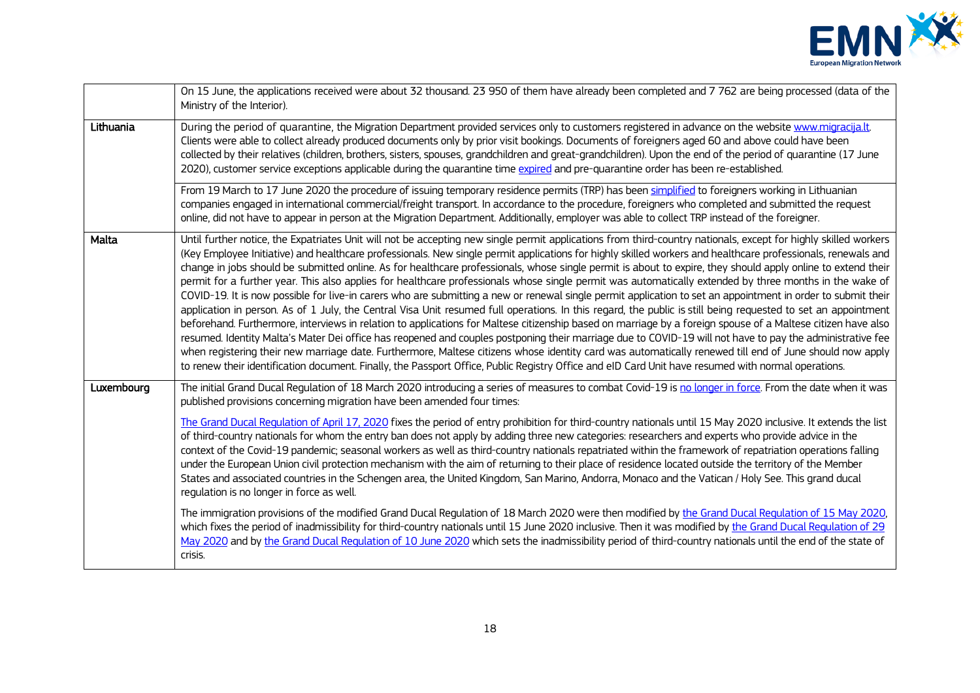

|            | On 15 June, the applications received were about 32 thousand. 23 950 of them have already been completed and 7 762 are being processed (data of the<br>Ministry of the Interior).                                                                                                                                                                                                                                                                                                                                                                                                                                                                                                                                                                                                                                                                                                                                                                                                                                                                                                                                                                                                                                                                                                                                                                                                                                                                                                                                                                                                                                                          |
|------------|--------------------------------------------------------------------------------------------------------------------------------------------------------------------------------------------------------------------------------------------------------------------------------------------------------------------------------------------------------------------------------------------------------------------------------------------------------------------------------------------------------------------------------------------------------------------------------------------------------------------------------------------------------------------------------------------------------------------------------------------------------------------------------------------------------------------------------------------------------------------------------------------------------------------------------------------------------------------------------------------------------------------------------------------------------------------------------------------------------------------------------------------------------------------------------------------------------------------------------------------------------------------------------------------------------------------------------------------------------------------------------------------------------------------------------------------------------------------------------------------------------------------------------------------------------------------------------------------------------------------------------------------|
| Lithuania  | During the period of quarantine, the Migration Department provided services only to customers registered in advance on the website www.migracija.lt.<br>Clients were able to collect already produced documents only by prior visit bookings. Documents of foreigners aged 60 and above could have been<br>collected by their relatives (children, brothers, sisters, spouses, grandchildren and great-grandchildren). Upon the end of the period of quarantine (17 June<br>2020), customer service exceptions applicable during the quarantine time expired and pre-quarantine order has been re-established.                                                                                                                                                                                                                                                                                                                                                                                                                                                                                                                                                                                                                                                                                                                                                                                                                                                                                                                                                                                                                             |
|            | From 19 March to 17 June 2020 the procedure of issuing temporary residence permits (TRP) has been simplified to foreigners working in Lithuanian<br>companies engaged in international commercial/freight transport. In accordance to the procedure, foreigners who completed and submitted the request<br>online, did not have to appear in person at the Migration Department. Additionally, employer was able to collect TRP instead of the foreigner.                                                                                                                                                                                                                                                                                                                                                                                                                                                                                                                                                                                                                                                                                                                                                                                                                                                                                                                                                                                                                                                                                                                                                                                  |
| Malta      | Until further notice, the Expatriates Unit will not be accepting new single permit applications from third-country nationals, except for highly skilled workers<br>(Key Employee Initiative) and healthcare professionals. New single permit applications for highly skilled workers and healthcare professionals, renewals and<br>change in jobs should be submitted online. As for healthcare professionals, whose single permit is about to expire, they should apply online to extend their<br>permit for a further year. This also applies for healthcare professionals whose single permit was automatically extended by three months in the wake of<br>COVID-19. It is now possible for live-in carers who are submitting a new or renewal single permit application to set an appointment in order to submit their<br>application in person. As of 1 July, the Central Visa Unit resumed full operations. In this regard, the public is still being requested to set an appointment<br>beforehand. Furthermore, interviews in relation to applications for Maltese citizenship based on marriage by a foreign spouse of a Maltese citizen have also<br>resumed. Identity Malta's Mater Dei office has reopened and couples postponing their marriage due to COVID-19 will not have to pay the administrative fee<br>when registering their new marriage date. Furthermore, Maltese citizens whose identity card was automatically renewed till end of June should now apply<br>to renew their identification document. Finally, the Passport Office, Public Registry Office and eID Card Unit have resumed with normal operations. |
| Luxembourg | The initial Grand Ducal Regulation of 18 March 2020 introducing a series of measures to combat Covid-19 is no longer in force. From the date when it was<br>published provisions concerning migration have been amended four times:<br>The Grand Ducal Regulation of April 17, 2020 fixes the period of entry prohibition for third-country nationals until 15 May 2020 inclusive. It extends the list<br>of third-country nationals for whom the entry ban does not apply by adding three new categories: researchers and experts who provide advice in the<br>context of the Covid-19 pandemic; seasonal workers as well as third-country nationals repatriated within the framework of repatriation operations falling<br>under the European Union civil protection mechanism with the aim of returning to their place of residence located outside the territory of the Member<br>States and associated countries in the Schengen area, the United Kingdom, San Marino, Andorra, Monaco and the Vatican / Holy See. This grand ducal<br>regulation is no longer in force as well.                                                                                                                                                                                                                                                                                                                                                                                                                                                                                                                                                      |
|            | The immigration provisions of the modified Grand Ducal Regulation of 18 March 2020 were then modified by the Grand Ducal Regulation of 15 May 2020,<br>which fixes the period of inadmissibility for third-country nationals until 15 June 2020 inclusive. Then it was modified by the Grand Ducal Regulation of 29<br>May 2020 and by the Grand Ducal Regulation of 10 June 2020 which sets the inadmissibility period of third-country nationals until the end of the state of<br>crisis.                                                                                                                                                                                                                                                                                                                                                                                                                                                                                                                                                                                                                                                                                                                                                                                                                                                                                                                                                                                                                                                                                                                                                |
|            |                                                                                                                                                                                                                                                                                                                                                                                                                                                                                                                                                                                                                                                                                                                                                                                                                                                                                                                                                                                                                                                                                                                                                                                                                                                                                                                                                                                                                                                                                                                                                                                                                                            |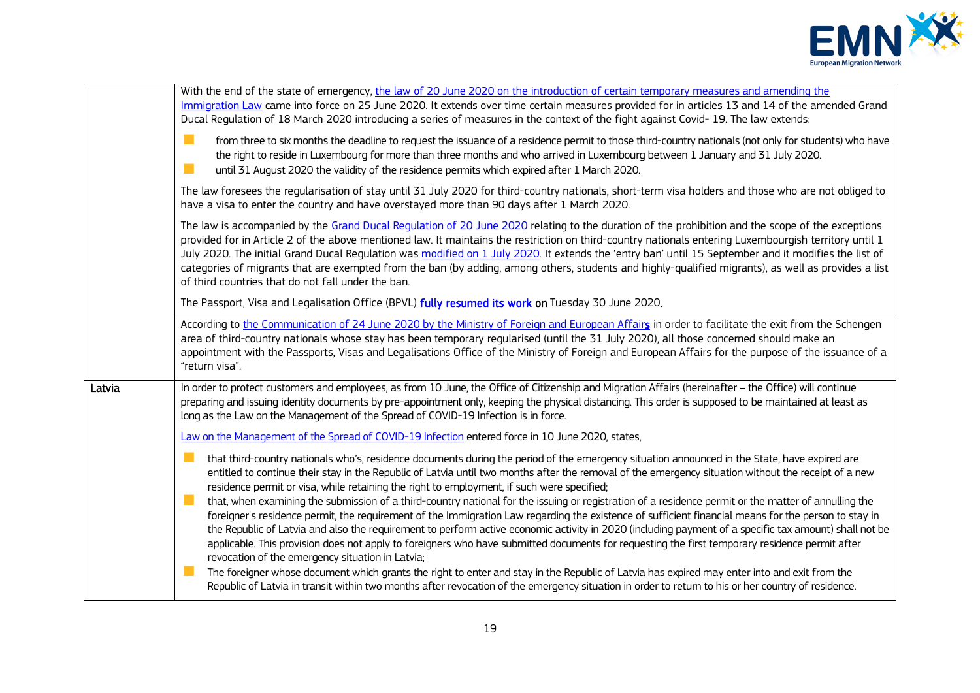

|        | With the end of the state of emergency, the law of 20 June 2020 on the introduction of certain temporary measures and amending the<br>Immigration Law came into force on 25 June 2020. It extends over time certain measures provided for in articles 13 and 14 of the amended Grand<br>Ducal Regulation of 18 March 2020 introducing a series of measures in the context of the fight against Covid-19. The law extends:                                                                                                                                                                                                                                                       |
|--------|---------------------------------------------------------------------------------------------------------------------------------------------------------------------------------------------------------------------------------------------------------------------------------------------------------------------------------------------------------------------------------------------------------------------------------------------------------------------------------------------------------------------------------------------------------------------------------------------------------------------------------------------------------------------------------|
|        | from three to six months the deadline to request the issuance of a residence permit to those third-country nationals (not only for students) who have<br>the right to reside in Luxembourg for more than three months and who arrived in Luxembourg between 1 January and 31 July 2020.<br>until 31 August 2020 the validity of the residence permits which expired after 1 March 2020.                                                                                                                                                                                                                                                                                         |
|        | The law foresees the regularisation of stay until 31 July 2020 for third-country nationals, short-term visa holders and those who are not obliged to<br>have a visa to enter the country and have overstayed more than 90 days after 1 March 2020.                                                                                                                                                                                                                                                                                                                                                                                                                              |
|        | The law is accompanied by the Grand Ducal Regulation of 20 June 2020 relating to the duration of the prohibition and the scope of the exceptions<br>provided for in Article 2 of the above mentioned law. It maintains the restriction on third-country nationals entering Luxembourgish territory until 1<br>July 2020. The initial Grand Ducal Regulation was modified on 1 July 2020. It extends the 'entry ban' until 15 September and it modifies the list of<br>categories of migrants that are exempted from the ban (by adding, among others, students and highly-qualified migrants), as well as provides a list<br>of third countries that do not fall under the ban. |
|        | The Passport, Visa and Legalisation Office (BPVL) fully resumed its work on Tuesday 30 June 2020.                                                                                                                                                                                                                                                                                                                                                                                                                                                                                                                                                                               |
|        | According to the Communication of 24 June 2020 by the Ministry of Foreign and European Affairs in order to facilitate the exit from the Schengen<br>area of third-country nationals whose stay has been temporary regularised (until the 31 July 2020), all those concerned should make an<br>appointment with the Passports, Visas and Legalisations Office of the Ministry of Foreign and European Affairs for the purpose of the issuance of a<br>"return visa".                                                                                                                                                                                                             |
| Latvia | In order to protect customers and employees, as from 10 June, the Office of Citizenship and Migration Affairs (hereinafter - the Office) will continue<br>preparing and issuing identity documents by pre-appointment only, keeping the physical distancing. This order is supposed to be maintained at least as<br>long as the Law on the Management of the Spread of COVID-19 Infection is in force.                                                                                                                                                                                                                                                                          |
|        | Law on the Management of the Spread of COVID-19 Infection entered force in 10 June 2020, states,                                                                                                                                                                                                                                                                                                                                                                                                                                                                                                                                                                                |
|        | that third-country nationals who's, residence documents during the period of the emergency situation announced in the State, have expired are<br>entitled to continue their stay in the Republic of Latvia until two months after the removal of the emergency situation without the receipt of a new<br>residence permit or visa, while retaining the right to employment, if such were specified;                                                                                                                                                                                                                                                                             |
|        | that, when examining the submission of a third-country national for the issuing or registration of a residence permit or the matter of annulling the<br>foreigner's residence permit, the requirement of the Immigration Law regarding the existence of sufficient financial means for the person to stay in<br>the Republic of Latvia and also the requirement to perform active economic activity in 2020 (including payment of a specific tax amount) shall not be<br>applicable. This provision does not apply to foreigners who have submitted documents for requesting the first temporary residence permit after<br>revocation of the emergency situation in Latvia;     |
|        | The foreigner whose document which grants the right to enter and stay in the Republic of Latvia has expired may enter into and exit from the<br>Republic of Latvia in transit within two months after revocation of the emergency situation in order to return to his or her country of residence.                                                                                                                                                                                                                                                                                                                                                                              |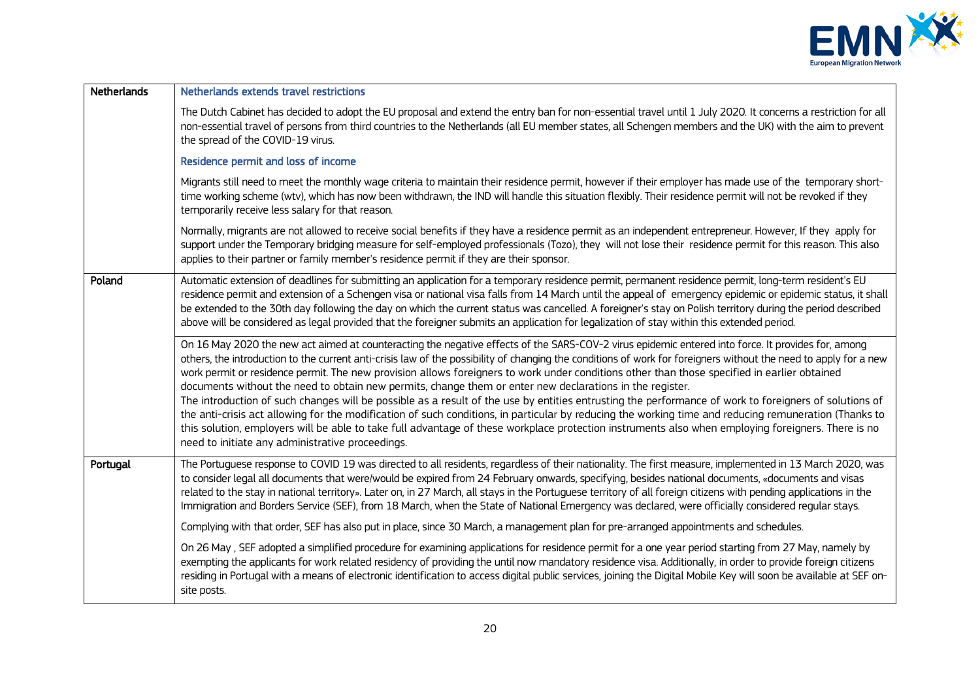

| <b>Netherlands</b> | Netherlands extends travel restrictions                                                                                                                                                                                                                                                                                                                                                                                                                                                                                                                                                                                                                                                                                                                                                                                                                                                                                                                                                                                                                                                                        |
|--------------------|----------------------------------------------------------------------------------------------------------------------------------------------------------------------------------------------------------------------------------------------------------------------------------------------------------------------------------------------------------------------------------------------------------------------------------------------------------------------------------------------------------------------------------------------------------------------------------------------------------------------------------------------------------------------------------------------------------------------------------------------------------------------------------------------------------------------------------------------------------------------------------------------------------------------------------------------------------------------------------------------------------------------------------------------------------------------------------------------------------------|
|                    | The Dutch Cabinet has decided to adopt the EU proposal and extend the entry ban for non-essential travel until 1 July 2020. It concerns a restriction for all<br>non-essential travel of persons from third countries to the Netherlands (all EU member states, all Schengen members and the UK) with the aim to prevent<br>the spread of the COVID-19 virus.                                                                                                                                                                                                                                                                                                                                                                                                                                                                                                                                                                                                                                                                                                                                                  |
|                    | Residence permit and loss of income                                                                                                                                                                                                                                                                                                                                                                                                                                                                                                                                                                                                                                                                                                                                                                                                                                                                                                                                                                                                                                                                            |
|                    | Migrants still need to meet the monthly wage criteria to maintain their residence permit, however if their employer has made use of the temporary short-<br>time working scheme (wtv), which has now been withdrawn, the IND will handle this situation flexibly. Their residence permit will not be revoked if they<br>temporarily receive less salary for that reason.                                                                                                                                                                                                                                                                                                                                                                                                                                                                                                                                                                                                                                                                                                                                       |
|                    | Normally, migrants are not allowed to receive social benefits if they have a residence permit as an independent entrepreneur. However, If they apply for<br>support under the Temporary bridging measure for self-employed professionals (Tozo), they will not lose their residence permit for this reason. This also<br>applies to their partner or family member's residence permit if they are their sponsor.                                                                                                                                                                                                                                                                                                                                                                                                                                                                                                                                                                                                                                                                                               |
| Poland             | Automatic extension of deadlines for submitting an application for a temporary residence permit, permanent residence permit, long-term resident's EU<br>residence permit and extension of a Schengen visa or national visa falls from 14 March until the appeal of emergency epidemic or epidemic status, it shall<br>be extended to the 30th day following the day on which the current status was cancelled. A foreigner's stay on Polish territory during the period described<br>above will be considered as legal provided that the foreigner submits an application for legalization of stay within this extended period.                                                                                                                                                                                                                                                                                                                                                                                                                                                                                |
|                    | On 16 May 2020 the new act aimed at counteracting the negative effects of the SARS-COV-2 virus epidemic entered into force. It provides for, among<br>others, the introduction to the current anti-crisis law of the possibility of changing the conditions of work for foreigners without the need to apply for a new<br>work permit or residence permit. The new provision allows foreigners to work under conditions other than those specified in earlier obtained<br>documents without the need to obtain new permits, change them or enter new declarations in the register.<br>The introduction of such changes will be possible as a result of the use by entities entrusting the performance of work to foreigners of solutions of<br>the anti-crisis act allowing for the modification of such conditions, in particular by reducing the working time and reducing remuneration (Thanks to<br>this solution, employers will be able to take full advantage of these workplace protection instruments also when employing foreigners. There is no<br>need to initiate any administrative proceedings. |
| Portugal           | The Portuguese response to COVID 19 was directed to all residents, regardless of their nationality. The first measure, implemented in 13 March 2020, was<br>to consider legal all documents that were/would be expired from 24 February onwards, specifying, besides national documents, «documents and visas<br>related to the stay in national territory». Later on, in 27 March, all stays in the Portuguese territory of all foreign citizens with pending applications in the<br>Immigration and Borders Service (SEF), from 18 March, when the State of National Emergency was declared, were officially considered regular stays.                                                                                                                                                                                                                                                                                                                                                                                                                                                                       |
|                    | Complying with that order, SEF has also put in place, since 30 March, a management plan for pre-arranged appointments and schedules.                                                                                                                                                                                                                                                                                                                                                                                                                                                                                                                                                                                                                                                                                                                                                                                                                                                                                                                                                                           |
|                    | On 26 May, SEF adopted a simplified procedure for examining applications for residence permit for a one year period starting from 27 May, namely by<br>exempting the applicants for work related residency of providing the until now mandatory residence visa. Additionally, in order to provide foreign citizens<br>residing in Portugal with a means of electronic identification to access digital public services, joining the Digital Mobile Key will soon be available at SEF on-<br>site posts.                                                                                                                                                                                                                                                                                                                                                                                                                                                                                                                                                                                                        |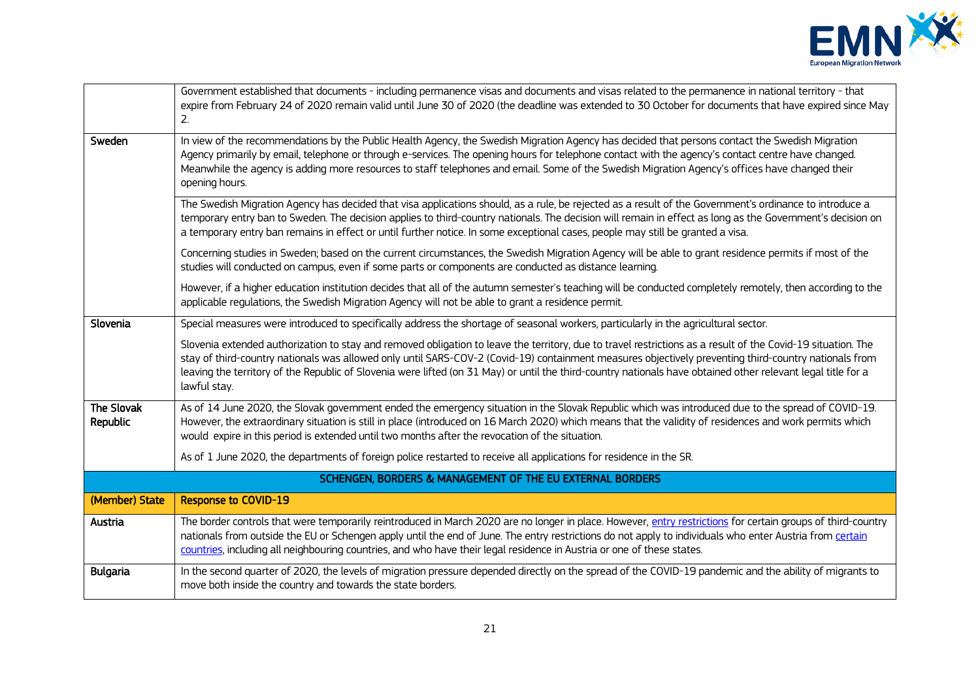

|                        | Government established that documents - including permanence visas and documents and visas related to the permanence in national territory - that<br>expire from February 24 of 2020 remain valid until June 30 of 2020 (the deadline was extended to 30 October for documents that have expired since May<br>2.                                                                                                                                                                                       |
|------------------------|--------------------------------------------------------------------------------------------------------------------------------------------------------------------------------------------------------------------------------------------------------------------------------------------------------------------------------------------------------------------------------------------------------------------------------------------------------------------------------------------------------|
| Sweden                 | In view of the recommendations by the Public Health Agency, the Swedish Migration Agency has decided that persons contact the Swedish Migration<br>Agency primarily by email, telephone or through e-services. The opening hours for telephone contact with the agency's contact centre have changed.<br>Meanwhile the agency is adding more resources to staff telephones and email. Some of the Swedish Migration Agency's offices have changed their<br>opening hours.                              |
|                        | The Swedish Migration Agency has decided that visa applications should, as a rule, be rejected as a result of the Government's ordinance to introduce a<br>temporary entry ban to Sweden. The decision applies to third-country nationals. The decision will remain in effect as long as the Government's decision on<br>a temporary entry ban remains in effect or until further notice. In some exceptional cases, people may still be granted a visa.                                               |
|                        | Concerning studies in Sweden; based on the current circumstances, the Swedish Migration Agency will be able to grant residence permits if most of the<br>studies will conducted on campus, even if some parts or components are conducted as distance learning.                                                                                                                                                                                                                                        |
|                        | However, if a higher education institution decides that all of the autumn semester's teaching will be conducted completely remotely, then according to the<br>applicable regulations, the Swedish Migration Agency will not be able to grant a residence permit.                                                                                                                                                                                                                                       |
| Slovenia               | Special measures were introduced to specifically address the shortage of seasonal workers, particularly in the agricultural sector.                                                                                                                                                                                                                                                                                                                                                                    |
|                        | Slovenia extended authorization to stay and removed obligation to leave the territory, due to travel restrictions as a result of the Covid-19 situation. The<br>stay of third-country nationals was allowed only until SARS-COV-2 (Covid-19) containment measures objectively preventing third-country nationals from<br>leaving the territory of the Republic of Slovenia were lifted (on 31 May) or until the third-country nationals have obtained other relevant legal title for a<br>lawful stay. |
| The Slovak<br>Republic | As of 14 June 2020, the Slovak government ended the emergency situation in the Slovak Republic which was introduced due to the spread of COVID-19.<br>However, the extraordinary situation is still in place (introduced on 16 March 2020) which means that the validity of residences and work permits which<br>would expire in this period is extended until two months after the revocation of the situation.                                                                                       |
|                        | As of 1 June 2020, the departments of foreign police restarted to receive all applications for residence in the SR.                                                                                                                                                                                                                                                                                                                                                                                    |
|                        | SCHENGEN, BORDERS & MANAGEMENT OF THE EU EXTERNAL BORDERS                                                                                                                                                                                                                                                                                                                                                                                                                                              |
| (Member) State         | <b>Response to COVID-19</b>                                                                                                                                                                                                                                                                                                                                                                                                                                                                            |
| Austria                | The border controls that were temporarily reintroduced in March 2020 are no longer in place. However, entry restrictions for certain groups of third-country<br>nationals from outside the EU or Schengen apply until the end of June. The entry restrictions do not apply to individuals who enter Austria from certain<br>countries, including all neighbouring countries, and who have their legal residence in Austria or one of these states.                                                     |
| <b>Bulgaria</b>        | In the second quarter of 2020, the levels of migration pressure depended directly on the spread of the COVID-19 pandemic and the ability of migrants to<br>move both inside the country and towards the state borders.                                                                                                                                                                                                                                                                                 |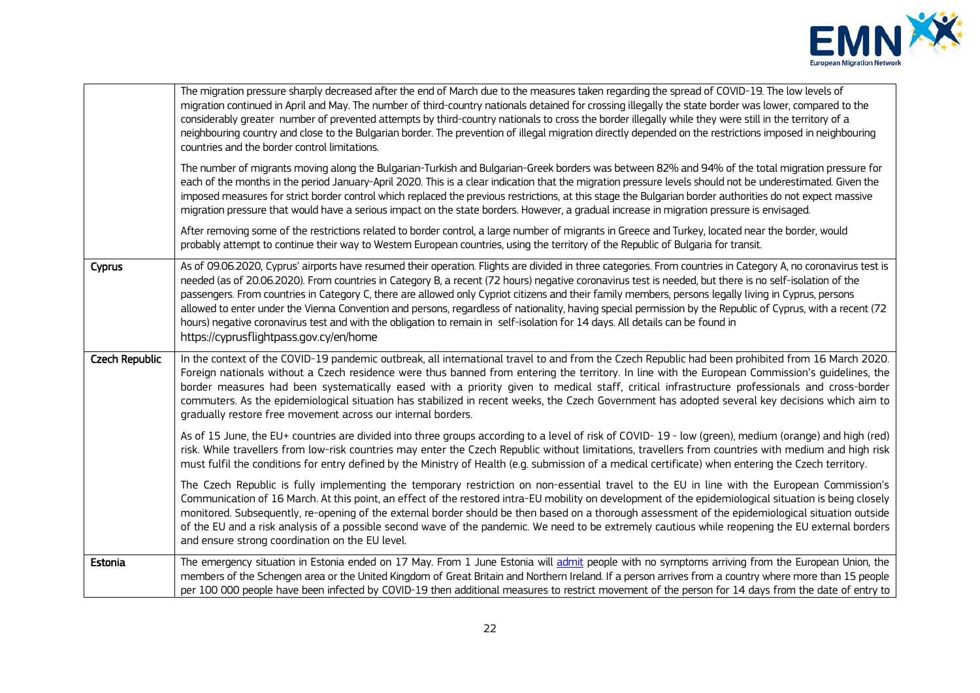

|                | The migration pressure sharply decreased after the end of March due to the measures taken regarding the spread of COVID-19. The low levels of<br>migration continued in April and May. The number of third-country nationals detained for crossing illegally the state border was lower, compared to the<br>considerably greater number of prevented attempts by third-country nationals to cross the border illegally while they were still in the territory of a<br>neighbouring country and close to the Bulgarian border. The prevention of illegal migration directly depended on the restrictions imposed in neighbouring<br>countries and the border control limitations.<br>The number of migrants moving along the Bulgarian-Turkish and Bulgarian-Greek borders was between 82% and 94% of the total migration pressure for<br>each of the months in the period January-April 2020. This is a clear indication that the migration pressure levels should not be underestimated. Given the<br>imposed measures for strict border control which replaced the previous restrictions, at this stage the Bulgarian border authorities do not expect massive |
|----------------|------------------------------------------------------------------------------------------------------------------------------------------------------------------------------------------------------------------------------------------------------------------------------------------------------------------------------------------------------------------------------------------------------------------------------------------------------------------------------------------------------------------------------------------------------------------------------------------------------------------------------------------------------------------------------------------------------------------------------------------------------------------------------------------------------------------------------------------------------------------------------------------------------------------------------------------------------------------------------------------------------------------------------------------------------------------------------------------------------------------------------------------------------------------|
|                | migration pressure that would have a serious impact on the state borders. However, a gradual increase in migration pressure is envisaged.<br>After removing some of the restrictions related to border control, a large number of migrants in Greece and Turkey, located near the border, would<br>probably attempt to continue their way to Western European countries, using the territory of the Republic of Bulgaria for transit.                                                                                                                                                                                                                                                                                                                                                                                                                                                                                                                                                                                                                                                                                                                            |
| Cyprus         | As of 09.06.2020, Cyprus' airports have resumed their operation. Flights are divided in three categories. From countries in Category A, no coronavirus test is<br>needed (as of 20.06.2020). From countries in Category B, a recent (72 hours) negative coronavirus test is needed, but there is no self-isolation of the<br>passengers. From countries in Category C, there are allowed only Cypriot citizens and their family members, persons legally living in Cyprus, persons<br>allowed to enter under the Vienna Convention and persons, regardless of nationality, having special permission by the Republic of Cyprus, with a recent (72<br>hours) negative coronavirus test and with the obligation to remain in self-isolation for 14 days. All details can be found in<br>https://cyprusflightpass.gov.cy/en/home                                                                                                                                                                                                                                                                                                                                    |
| Czech Republic | In the context of the COVID-19 pandemic outbreak, all international travel to and from the Czech Republic had been prohibited from 16 March 2020.<br>Foreign nationals without a Czech residence were thus banned from entering the territory. In line with the European Commission's quidelines, the<br>border measures had been systematically eased with a priority given to medical staff, critical infrastructure professionals and cross-border<br>commuters. As the epidemiological situation has stabilized in recent weeks, the Czech Government has adopted several key decisions which aim to<br>gradually restore free movement across our internal borders.                                                                                                                                                                                                                                                                                                                                                                                                                                                                                         |
|                | As of 15 June, the EU+ countries are divided into three groups according to a level of risk of COVID-19 - low (green), medium (orange) and high (red)<br>risk. While travellers from low-risk countries may enter the Czech Republic without limitations, travellers from countries with medium and high risk<br>must fulfil the conditions for entry defined by the Ministry of Health (e.g. submission of a medical certificate) when entering the Czech territory.                                                                                                                                                                                                                                                                                                                                                                                                                                                                                                                                                                                                                                                                                            |
|                | The Czech Republic is fully implementing the temporary restriction on non-essential travel to the EU in line with the European Commission's<br>Communication of 16 March. At this point, an effect of the restored intra-EU mobility on development of the epidemiological situation is being closely<br>monitored. Subsequently, re-opening of the external border should be then based on a thorough assessment of the epidemiological situation outside<br>of the EU and a risk analysis of a possible second wave of the pandemic. We need to be extremely cautious while reopening the EU external borders<br>and ensure strong coordination on the EU level.                                                                                                                                                                                                                                                                                                                                                                                                                                                                                               |
| Estonia        | The emergency situation in Estonia ended on 17 May. From 1 June Estonia will admit people with no symptoms arriving from the European Union, the<br>members of the Schengen area or the United Kingdom of Great Britain and Northern Ireland. If a person arrives from a country where more than 15 people<br>per 100 000 people have been infected by COVID-19 then additional measures to restrict movement of the person for 14 days from the date of entry to                                                                                                                                                                                                                                                                                                                                                                                                                                                                                                                                                                                                                                                                                                |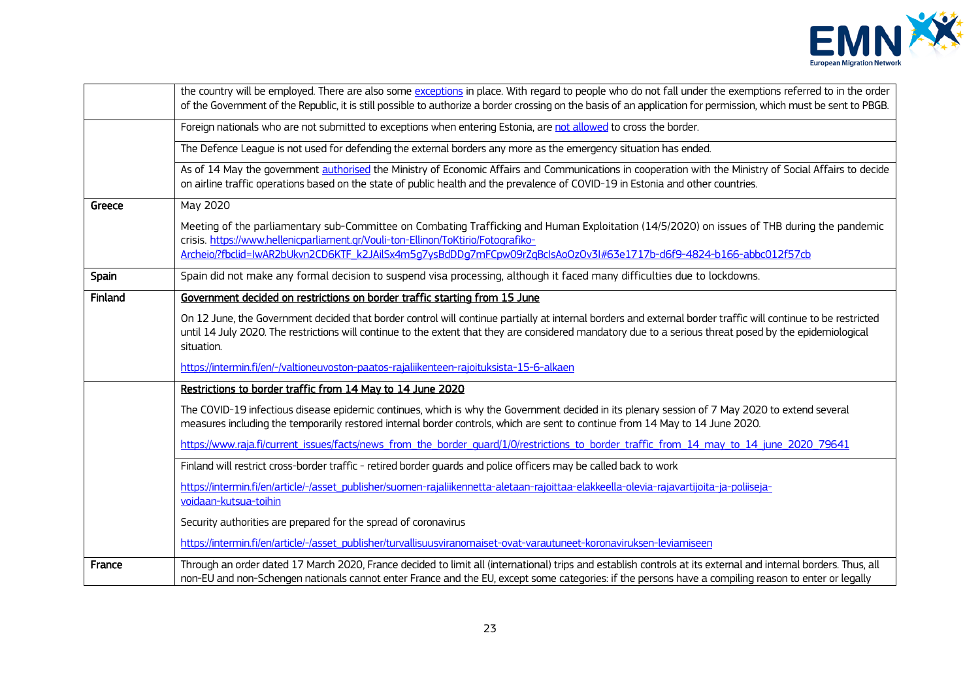

|         | the country will be employed. There are also some exceptions in place. With regard to people who do not fall under the exemptions referred to in the order<br>of the Government of the Republic, it is still possible to authorize a border crossing on the basis of an application for permission, which must be sent to PBGB.                        |
|---------|--------------------------------------------------------------------------------------------------------------------------------------------------------------------------------------------------------------------------------------------------------------------------------------------------------------------------------------------------------|
|         | Foreign nationals who are not submitted to exceptions when entering Estonia, are not allowed to cross the border.                                                                                                                                                                                                                                      |
|         | The Defence League is not used for defending the external borders any more as the emergency situation has ended.                                                                                                                                                                                                                                       |
|         | As of 14 May the government authorised the Ministry of Economic Affairs and Communications in cooperation with the Ministry of Social Affairs to decide<br>on airline traffic operations based on the state of public health and the prevalence of COVID-19 in Estonia and other countries.                                                            |
| Greece  | May 2020                                                                                                                                                                                                                                                                                                                                               |
|         | Meeting of the parliamentary sub-Committee on Combating Trafficking and Human Exploitation (14/5/2020) on issues of THB during the pandemic<br>crisis. https://www.hellenicparliament.gr/Vouli-ton-Ellinon/ToKtirio/Fotografiko-<br>Archeio/?fbclid=IwAR2bUkvn2CD6KTF_k2JAilSx4m5g7ysBdDDg7mFCpw09rZqBcIsAoOzOv3I#63e1717b-d6f9-4824-b166-abbc012f57cb |
| Spain   | Spain did not make any formal decision to suspend visa processing, although it faced many difficulties due to lockdowns.                                                                                                                                                                                                                               |
| Finland | Government decided on restrictions on border traffic starting from 15 June                                                                                                                                                                                                                                                                             |
|         | On 12 June, the Government decided that border control will continue partially at internal borders and external border traffic will continue to be restricted<br>until 14 July 2020. The restrictions will continue to the extent that they are considered mandatory due to a serious threat posed by the epidemiological<br>situation.                |
|         | https://intermin.fi/en/-/valtioneuvoston-paatos-rajaliikenteen-rajoituksista-15-6-alkaen                                                                                                                                                                                                                                                               |
|         | Restrictions to border traffic from 14 May to 14 June 2020                                                                                                                                                                                                                                                                                             |
|         | The COVID-19 infectious disease epidemic continues, which is why the Government decided in its plenary session of 7 May 2020 to extend several<br>measures including the temporarily restored internal border controls, which are sent to continue from 14 May to 14 June 2020.                                                                        |
|         | https://www.raja.fi/current_issues/facts/news_from_the_border_quard/1/0/restrictions_to_border_traffic_from_14_may_to_14_june_2020_79641                                                                                                                                                                                                               |
|         | Finland will restrict cross-border traffic - retired border quards and police officers may be called back to work                                                                                                                                                                                                                                      |
|         | https://intermin.fi/en/article/-/asset_publisher/suomen-rajaliikennetta-aletaan-rajoittaa-elakkeella-olevia-rajavartijoita-ja-poliiseja-                                                                                                                                                                                                               |
|         | voidaan-kutsua-toihin                                                                                                                                                                                                                                                                                                                                  |
|         | Security authorities are prepared for the spread of coronavirus                                                                                                                                                                                                                                                                                        |
|         | https://intermin.fi/en/article/-/asset_publisher/turvallisuusviranomaiset-ovat-varautuneet-koronaviruksen-leviamiseen                                                                                                                                                                                                                                  |
| France  | Through an order dated 17 March 2020, France decided to limit all (international) trips and establish controls at its external and internal borders. Thus, all<br>non-EU and non-Schengen nationals cannot enter France and the EU, except some categories: if the persons have a compiling reason to enter or legally                                 |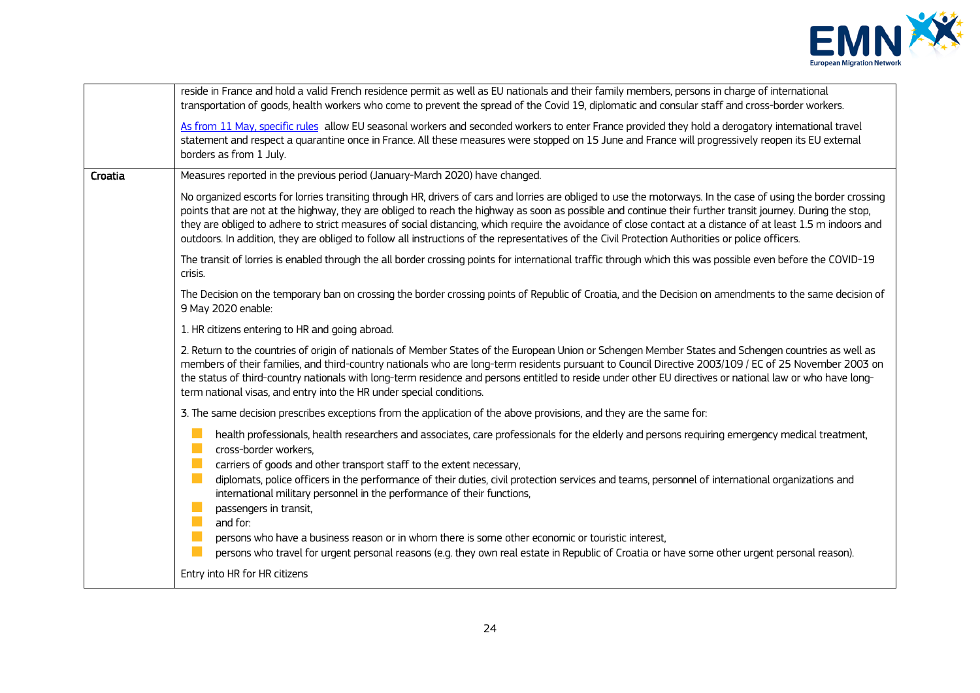

|         | reside in France and hold a valid French residence permit as well as EU nationals and their family members, persons in charge of international<br>transportation of goods, health workers who come to prevent the spread of the Covid 19, diplomatic and consular staff and cross-border workers.                                                                                                                                                                                                                                                                                                                                                 |
|---------|---------------------------------------------------------------------------------------------------------------------------------------------------------------------------------------------------------------------------------------------------------------------------------------------------------------------------------------------------------------------------------------------------------------------------------------------------------------------------------------------------------------------------------------------------------------------------------------------------------------------------------------------------|
|         | As from 11 May, specific rules allow EU seasonal workers and seconded workers to enter France provided they hold a derogatory international travel<br>statement and respect a quarantine once in France. All these measures were stopped on 15 June and France will progressively reopen its EU external<br>borders as from 1 July.                                                                                                                                                                                                                                                                                                               |
| Croatia | Measures reported in the previous period (January-March 2020) have changed.                                                                                                                                                                                                                                                                                                                                                                                                                                                                                                                                                                       |
|         | No organized escorts for lorries transiting through HR, drivers of cars and lorries are obliged to use the motorways. In the case of using the border crossing<br>points that are not at the highway, they are obliged to reach the highway as soon as possible and continue their further transit journey. During the stop,<br>they are obliged to adhere to strict measures of social distancing, which require the avoidance of close contact at a distance of at least 1.5 m indoors and<br>outdoors. In addition, they are obliged to follow all instructions of the representatives of the Civil Protection Authorities or police officers. |
|         | The transit of lorries is enabled through the all border crossing points for international traffic through which this was possible even before the COVID-19<br>crisis.                                                                                                                                                                                                                                                                                                                                                                                                                                                                            |
|         | The Decision on the temporary ban on crossing the border crossing points of Republic of Croatia, and the Decision on amendments to the same decision of<br>9 May 2020 enable:                                                                                                                                                                                                                                                                                                                                                                                                                                                                     |
|         | 1. HR citizens entering to HR and going abroad.                                                                                                                                                                                                                                                                                                                                                                                                                                                                                                                                                                                                   |
|         | 2. Return to the countries of origin of nationals of Member States of the European Union or Schengen Member States and Schengen countries as well as<br>members of their families, and third-country nationals who are long-term residents pursuant to Council Directive 2003/109 / EC of 25 November 2003 on<br>the status of third-country nationals with long-term residence and persons entitled to reside under other EU directives or national law or who have long-<br>term national visas, and entry into the HR under special conditions.                                                                                                |
|         | 3. The same decision prescribes exceptions from the application of the above provisions, and they are the same for:                                                                                                                                                                                                                                                                                                                                                                                                                                                                                                                               |
|         | $\mathcal{C}^{\mathcal{A}}$<br>health professionals, health researchers and associates, care professionals for the elderly and persons requiring emergency medical treatment,<br>T.<br>cross-border workers.<br>n.<br>carriers of goods and other transport staff to the extent necessary,                                                                                                                                                                                                                                                                                                                                                        |
|         | $\mathcal{C}^{\mathcal{A}}$<br>diplomats, police officers in the performance of their duties, civil protection services and teams, personnel of international organizations and<br>international military personnel in the performance of their functions,<br>H.<br>passengers in transit,                                                                                                                                                                                                                                                                                                                                                        |
|         | T.<br>and for:<br><b>I</b>                                                                                                                                                                                                                                                                                                                                                                                                                                                                                                                                                                                                                        |
|         | persons who have a business reason or in whom there is some other economic or touristic interest,<br>$\sim$<br>persons who travel for urgent personal reasons (e.g. they own real estate in Republic of Croatia or have some other urgent personal reason).                                                                                                                                                                                                                                                                                                                                                                                       |
|         | Entry into HR for HR citizens                                                                                                                                                                                                                                                                                                                                                                                                                                                                                                                                                                                                                     |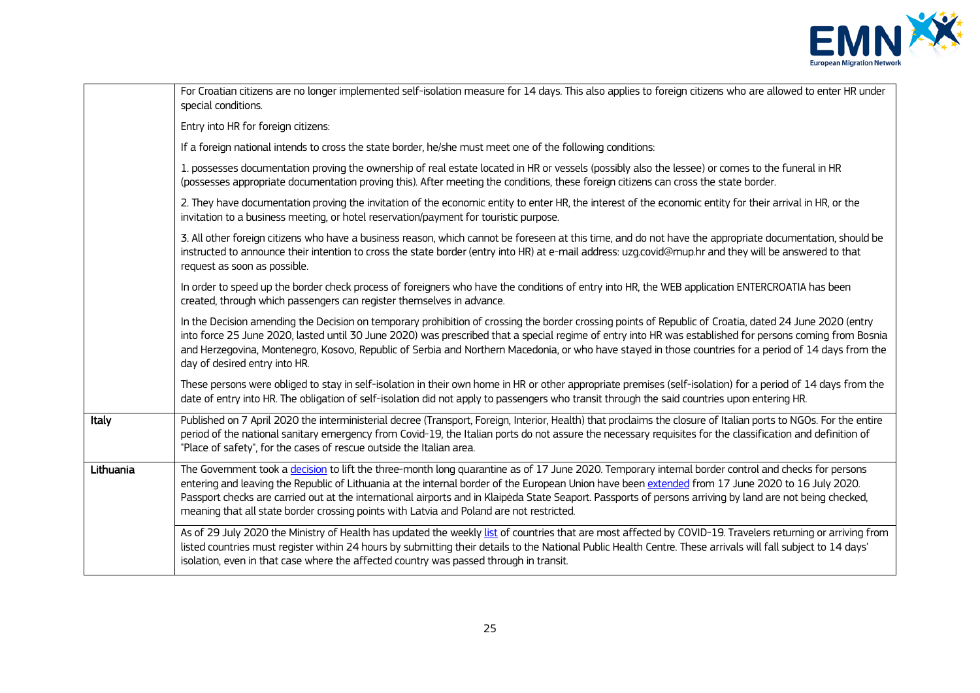

|           | For Croatian citizens are no longer implemented self-isolation measure for 14 days. This also applies to foreign citizens who are allowed to enter HR under<br>special conditions.                                                                                                                                                                                                                                                                                                                                                                                |
|-----------|-------------------------------------------------------------------------------------------------------------------------------------------------------------------------------------------------------------------------------------------------------------------------------------------------------------------------------------------------------------------------------------------------------------------------------------------------------------------------------------------------------------------------------------------------------------------|
|           | Entry into HR for foreign citizens:                                                                                                                                                                                                                                                                                                                                                                                                                                                                                                                               |
|           | If a foreign national intends to cross the state border, he/she must meet one of the following conditions:                                                                                                                                                                                                                                                                                                                                                                                                                                                        |
|           | 1. possesses documentation proving the ownership of real estate located in HR or vessels (possibly also the lessee) or comes to the funeral in HR<br>(possesses appropriate documentation proving this). After meeting the conditions, these foreign citizens can cross the state border.                                                                                                                                                                                                                                                                         |
|           | 2. They have documentation proving the invitation of the economic entity to enter HR, the interest of the economic entity for their arrival in HR, or the<br>invitation to a business meeting, or hotel reservation/payment for touristic purpose.                                                                                                                                                                                                                                                                                                                |
|           | 3. All other foreign citizens who have a business reason, which cannot be foreseen at this time, and do not have the appropriate documentation, should be<br>instructed to announce their intention to cross the state border (entry into HR) at e-mail address: uzg.covid@mup.hr and they will be answered to that<br>request as soon as possible.                                                                                                                                                                                                               |
|           | In order to speed up the border check process of foreigners who have the conditions of entry into HR, the WEB application ENTERCROATIA has been<br>created, through which passengers can register themselves in advance.                                                                                                                                                                                                                                                                                                                                          |
|           | In the Decision amending the Decision on temporary prohibition of crossing the border crossing points of Republic of Croatia, dated 24 June 2020 (entry<br>into force 25 June 2020, lasted until 30 June 2020) was prescribed that a special regime of entry into HR was established for persons coming from Bosnia<br>and Herzegovina, Montenegro, Kosovo, Republic of Serbia and Northern Macedonia, or who have stayed in those countries for a period of 14 days from the<br>day of desired entry into HR.                                                    |
|           | These persons were obliged to stay in self-isolation in their own home in HR or other appropriate premises (self-isolation) for a period of 14 days from the<br>date of entry into HR. The obligation of self-isolation did not apply to passengers who transit through the said countries upon entering HR.                                                                                                                                                                                                                                                      |
| Italy     | Published on 7 April 2020 the interministerial decree (Transport, Foreign, Interior, Health) that proclaims the closure of Italian ports to NGOs. For the entire<br>period of the national sanitary emergency from Covid-19, the Italian ports do not assure the necessary requisites for the classification and definition of<br>"Place of safety", for the cases of rescue outside the Italian area.                                                                                                                                                            |
| Lithuania | The Government took a decision to lift the three-month long quarantine as of 17 June 2020. Temporary internal border control and checks for persons<br>entering and leaving the Republic of Lithuania at the internal border of the European Union have been extended from 17 June 2020 to 16 July 2020.<br>Passport checks are carried out at the international airports and in Klaipėda State Seaport. Passports of persons arriving by land are not being checked,<br>meaning that all state border crossing points with Latvia and Poland are not restricted. |
|           | As of 29 July 2020 the Ministry of Health has updated the weekly list of countries that are most affected by COVID-19. Travelers returning or arriving from<br>listed countries must register within 24 hours by submitting their details to the National Public Health Centre. These arrivals will fall subject to 14 days'<br>isolation, even in that case where the affected country was passed through in transit.                                                                                                                                            |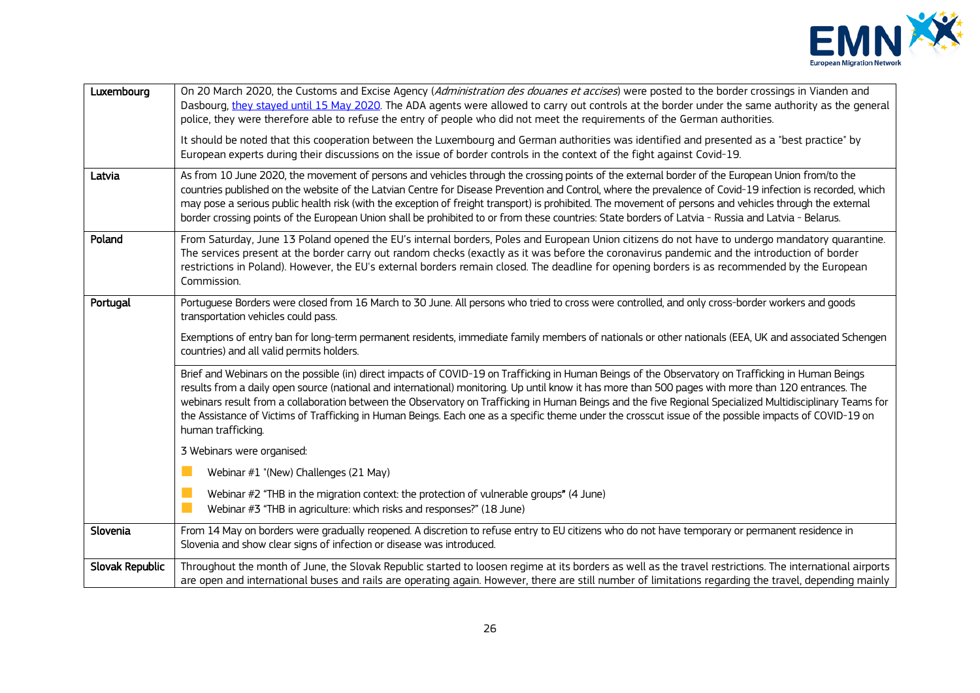

| Luxembourg      | On 20 March 2020, the Customs and Excise Agency (Administration des douanes et accises) were posted to the border crossings in Vianden and<br>Dasbourg, they stayed until 15 May 2020. The ADA agents were allowed to carry out controls at the border under the same authority as the general<br>police, they were therefore able to refuse the entry of people who did not meet the requirements of the German authorities.<br>It should be noted that this cooperation between the Luxembourg and German authorities was identified and presented as a "best practice" by                                                                             |
|-----------------|----------------------------------------------------------------------------------------------------------------------------------------------------------------------------------------------------------------------------------------------------------------------------------------------------------------------------------------------------------------------------------------------------------------------------------------------------------------------------------------------------------------------------------------------------------------------------------------------------------------------------------------------------------|
|                 | European experts during their discussions on the issue of border controls in the context of the fight against Covid-19.                                                                                                                                                                                                                                                                                                                                                                                                                                                                                                                                  |
| Latvia          | As from 10 June 2020, the movement of persons and vehicles through the crossing points of the external border of the European Union from/to the<br>countries published on the website of the Latvian Centre for Disease Prevention and Control, where the prevalence of Covid-19 infection is recorded, which<br>may pose a serious public health risk (with the exception of freight transport) is prohibited. The movement of persons and vehicles through the external<br>border crossing points of the European Union shall be prohibited to or from these countries: State borders of Latvia - Russia and Latvia - Belarus.                         |
| Poland          | From Saturday, June 13 Poland opened the EU's internal borders, Poles and European Union citizens do not have to undergo mandatory quarantine.<br>The services present at the border carry out random checks (exactly as it was before the coronavirus pandemic and the introduction of border<br>restrictions in Poland). However, the EU's external borders remain closed. The deadline for opening borders is as recommended by the European<br>Commission.                                                                                                                                                                                           |
| Portugal        | Portuguese Borders were closed from 16 March to 30 June. All persons who tried to cross were controlled, and only cross-border workers and goods<br>transportation vehicles could pass.                                                                                                                                                                                                                                                                                                                                                                                                                                                                  |
|                 | Exemptions of entry ban for long-term permanent residents, immediate family members of nationals or other nationals (EEA, UK and associated Schengen<br>countries) and all valid permits holders.                                                                                                                                                                                                                                                                                                                                                                                                                                                        |
|                 | Brief and Webinars on the possible (in) direct impacts of COVID-19 on Trafficking in Human Beings of the Observatory on Trafficking in Human Beings<br>results from a daily open source (national and international) monitoring. Up until know it has more than 500 pages with more than 120 entrances. The<br>webinars result from a collaboration between the Observatory on Trafficking in Human Beings and the five Regional Specialized Multidisciplinary Teams for<br>the Assistance of Victims of Trafficking in Human Beings. Each one as a specific theme under the crosscut issue of the possible impacts of COVID-19 on<br>human trafficking. |
|                 | 3 Webinars were organised:                                                                                                                                                                                                                                                                                                                                                                                                                                                                                                                                                                                                                               |
|                 | Webinar #1 "(New) Challenges (21 May)                                                                                                                                                                                                                                                                                                                                                                                                                                                                                                                                                                                                                    |
|                 | Webinar #2 "THB in the migration context: the protection of vulnerable groups" (4 June)<br>Webinar #3 "THB in agriculture: which risks and responses?" (18 June)                                                                                                                                                                                                                                                                                                                                                                                                                                                                                         |
| Slovenia        | From 14 May on borders were gradually reopened. A discretion to refuse entry to EU citizens who do not have temporary or permanent residence in<br>Slovenia and show clear signs of infection or disease was introduced.                                                                                                                                                                                                                                                                                                                                                                                                                                 |
| Slovak Republic | Throughout the month of June, the Slovak Republic started to loosen regime at its borders as well as the travel restrictions. The international airports<br>are open and international buses and rails are operating again. However, there are still number of limitations regarding the travel, depending mainly                                                                                                                                                                                                                                                                                                                                        |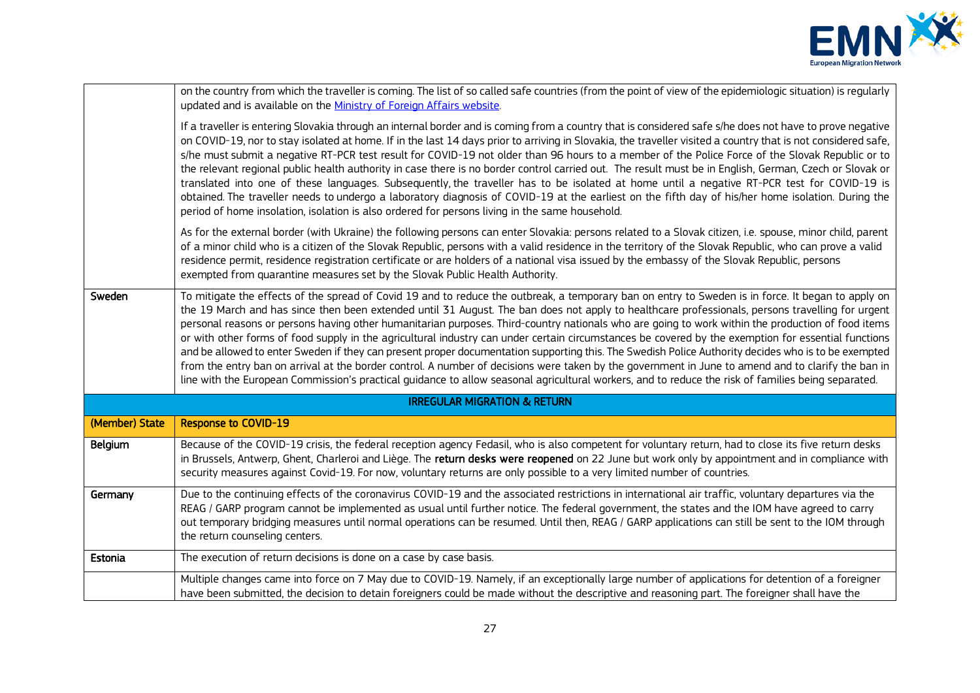

|                | on the country from which the traveller is coming. The list of so called safe countries (from the point of view of the epidemiologic situation) is regularly<br>updated and is available on the Ministry of Foreign Affairs website.                                                                                                                                                                                                                                                                                                                                                                                                                                                                                                                                                                                                                                                                                                                                                                                                                                                  |
|----------------|---------------------------------------------------------------------------------------------------------------------------------------------------------------------------------------------------------------------------------------------------------------------------------------------------------------------------------------------------------------------------------------------------------------------------------------------------------------------------------------------------------------------------------------------------------------------------------------------------------------------------------------------------------------------------------------------------------------------------------------------------------------------------------------------------------------------------------------------------------------------------------------------------------------------------------------------------------------------------------------------------------------------------------------------------------------------------------------|
|                | If a traveller is entering Slovakia through an internal border and is coming from a country that is considered safe s/he does not have to prove negative<br>on COVID-19, nor to stay isolated at home. If in the last 14 days prior to arriving in Slovakia, the traveller visited a country that is not considered safe,<br>s/he must submit a negative RT-PCR test result for COVID-19 not older than 96 hours to a member of the Police Force of the Slovak Republic or to<br>the relevant regional public health authority in case there is no border control carried out. The result must be in English, German, Czech or Slovak or<br>translated into one of these languages. Subsequently, the traveller has to be isolated at home until a negative RT-PCR test for COVID-19 is<br>obtained. The traveller needs to undergo a laboratory diagnosis of COVID-19 at the earliest on the fifth day of his/her home isolation. During the<br>period of home insolation, isolation is also ordered for persons living in the same household.                                       |
|                | As for the external border (with Ukraine) the following persons can enter Slovakia: persons related to a Slovak citizen, i.e. spouse, minor child, parent<br>of a minor child who is a citizen of the Slovak Republic, persons with a valid residence in the territory of the Slovak Republic, who can prove a valid<br>residence permit, residence registration certificate or are holders of a national visa issued by the embassy of the Slovak Republic, persons<br>exempted from quarantine measures set by the Slovak Public Health Authority.                                                                                                                                                                                                                                                                                                                                                                                                                                                                                                                                  |
| Sweden         | To mitigate the effects of the spread of Covid 19 and to reduce the outbreak, a temporary ban on entry to Sweden is in force. It began to apply on<br>the 19 March and has since then been extended until 31 August. The ban does not apply to healthcare professionals, persons travelling for urgent<br>personal reasons or persons having other humanitarian purposes. Third-country nationals who are going to work within the production of food items<br>or with other forms of food supply in the agricultural industry can under certain circumstances be covered by the exemption for essential functions<br>and be allowed to enter Sweden if they can present proper documentation supporting this. The Swedish Police Authority decides who is to be exempted<br>from the entry ban on arrival at the border control. A number of decisions were taken by the government in June to amend and to clarify the ban in<br>line with the European Commission's practical quidance to allow seasonal agricultural workers, and to reduce the risk of families being separated. |
|                | <b>IRREGULAR MIGRATION &amp; RETURN</b>                                                                                                                                                                                                                                                                                                                                                                                                                                                                                                                                                                                                                                                                                                                                                                                                                                                                                                                                                                                                                                               |
| (Member) State | Response to COVID-19                                                                                                                                                                                                                                                                                                                                                                                                                                                                                                                                                                                                                                                                                                                                                                                                                                                                                                                                                                                                                                                                  |
| Belgium        | Because of the COVID-19 crisis, the federal reception agency Fedasil, who is also competent for voluntary return, had to close its five return desks<br>in Brussels, Antwerp, Ghent, Charleroi and Liège. The return desks were reopened on 22 June but work only by appointment and in compliance with<br>security measures against Covid-19. For now, voluntary returns are only possible to a very limited number of countries.                                                                                                                                                                                                                                                                                                                                                                                                                                                                                                                                                                                                                                                    |
| Germany        | Due to the continuing effects of the coronavirus COVID-19 and the associated restrictions in international air traffic, voluntary departures via the<br>REAG / GARP program cannot be implemented as usual until further notice. The federal government, the states and the IOM have agreed to carry<br>out temporary bridging measures until normal operations can be resumed. Until then, REAG / GARP applications can still be sent to the IOM through<br>the return counseling centers.                                                                                                                                                                                                                                                                                                                                                                                                                                                                                                                                                                                           |
| Estonia        | The execution of return decisions is done on a case by case basis.                                                                                                                                                                                                                                                                                                                                                                                                                                                                                                                                                                                                                                                                                                                                                                                                                                                                                                                                                                                                                    |
|                | Multiple changes came into force on 7 May due to COVID-19. Namely, if an exceptionally large number of applications for detention of a foreigner<br>have been submitted, the decision to detain foreigners could be made without the descriptive and reasoning part. The foreigner shall have the                                                                                                                                                                                                                                                                                                                                                                                                                                                                                                                                                                                                                                                                                                                                                                                     |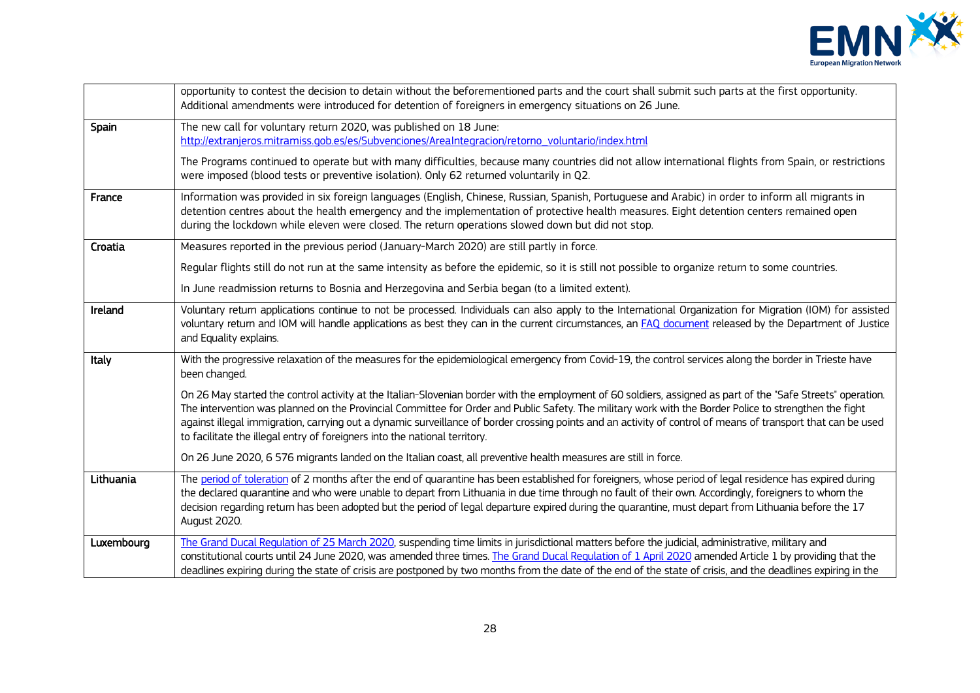

|            | opportunity to contest the decision to detain without the beforementioned parts and the court shall submit such parts at the first opportunity.<br>Additional amendments were introduced for detention of foreigners in emergency situations on 26 June.                                                                                                                                                                                                                                                                                                             |
|------------|----------------------------------------------------------------------------------------------------------------------------------------------------------------------------------------------------------------------------------------------------------------------------------------------------------------------------------------------------------------------------------------------------------------------------------------------------------------------------------------------------------------------------------------------------------------------|
| Spain      | The new call for voluntary return 2020, was published on 18 June:<br>http://extranjeros.mitramiss.gob.es/es/Subvenciones/AreaIntegracion/retorno_voluntario/index.html                                                                                                                                                                                                                                                                                                                                                                                               |
|            | The Programs continued to operate but with many difficulties, because many countries did not allow international flights from Spain, or restrictions<br>were imposed (blood tests or preventive isolation). Only 62 returned voluntarily in Q2.                                                                                                                                                                                                                                                                                                                      |
| France     | Information was provided in six foreign languages (English, Chinese, Russian, Spanish, Portuguese and Arabic) in order to inform all migrants in<br>detention centres about the health emergency and the implementation of protective health measures. Eight detention centers remained open<br>during the lockdown while eleven were closed. The return operations slowed down but did not stop.                                                                                                                                                                    |
| Croatia    | Measures reported in the previous period (January-March 2020) are still partly in force.                                                                                                                                                                                                                                                                                                                                                                                                                                                                             |
|            | Regular flights still do not run at the same intensity as before the epidemic, so it is still not possible to organize return to some countries.                                                                                                                                                                                                                                                                                                                                                                                                                     |
|            | In June readmission returns to Bosnia and Herzegovina and Serbia began (to a limited extent).                                                                                                                                                                                                                                                                                                                                                                                                                                                                        |
| Ireland    | Voluntary return applications continue to not be processed. Individuals can also apply to the International Organization for Migration (IOM) for assisted<br>voluntary return and IOM will handle applications as best they can in the current circumstances, an FAQ document released by the Department of Justice<br>and Equality explains.                                                                                                                                                                                                                        |
| Italy      | With the progressive relaxation of the measures for the epidemiological emergency from Covid-19, the control services along the border in Trieste have<br>been changed.                                                                                                                                                                                                                                                                                                                                                                                              |
|            | On 26 May started the control activity at the Italian-Slovenian border with the employment of 60 soldiers, assigned as part of the "Safe Streets" operation.<br>The intervention was planned on the Provincial Committee for Order and Public Safety. The military work with the Border Police to strengthen the fight<br>against illegal immigration, carrying out a dynamic surveillance of border crossing points and an activity of control of means of transport that can be used<br>to facilitate the illegal entry of foreigners into the national territory. |
|            | On 26 June 2020, 6 576 migrants landed on the Italian coast, all preventive health measures are still in force.                                                                                                                                                                                                                                                                                                                                                                                                                                                      |
| Lithuania  | The period of toleration of 2 months after the end of quarantine has been established for foreigners, whose period of legal residence has expired during<br>the declared quarantine and who were unable to depart from Lithuania in due time through no fault of their own. Accordingly, foreigners to whom the<br>decision regarding return has been adopted but the period of legal departure expired during the quarantine, must depart from Lithuania before the 17<br>August 2020.                                                                              |
| Luxembourg | The Grand Ducal Regulation of 25 March 2020, suspending time limits in jurisdictional matters before the judicial, administrative, military and<br>constitutional courts until 24 June 2020, was amended three times. The Grand Ducal Regulation of 1 April 2020 amended Article 1 by providing that the<br>deadlines expiring during the state of crisis are postponed by two months from the date of the end of the state of crisis, and the deadlines expiring in the                                                                                             |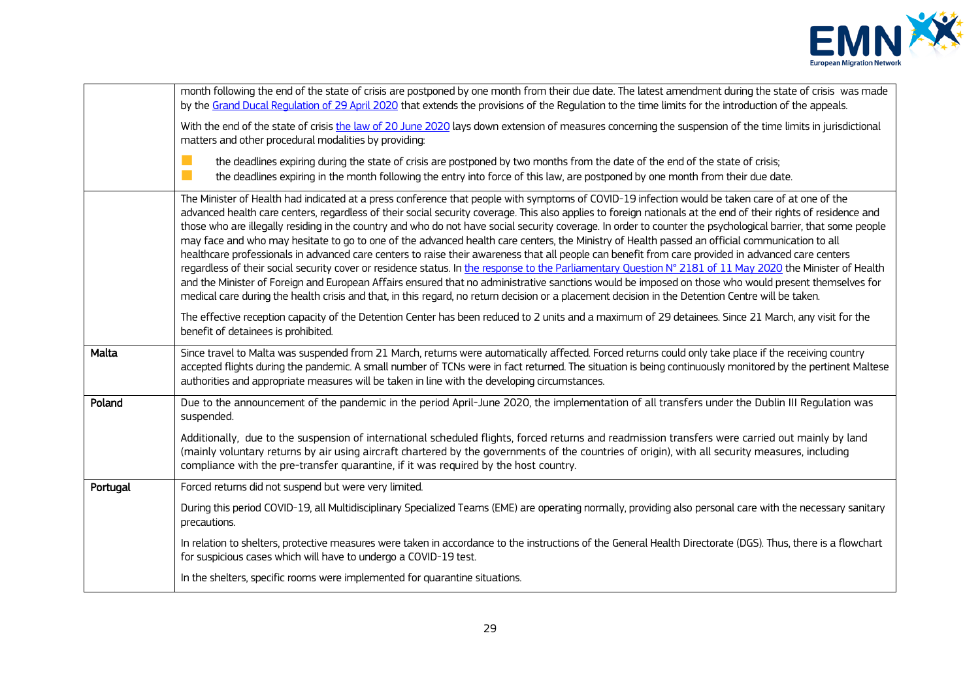

|          | month following the end of the state of crisis are postponed by one month from their due date. The latest amendment during the state of crisis was made<br>by the Grand Ducal Regulation of 29 April 2020 that extends the provisions of the Regulation to the time limits for the introduction of the appeals.                                                                                                                                                                                                                                                                                                                                                                                                                                                                                                                                                                                                                                                                                                                                                                                                                                                                                                                                                       |
|----------|-----------------------------------------------------------------------------------------------------------------------------------------------------------------------------------------------------------------------------------------------------------------------------------------------------------------------------------------------------------------------------------------------------------------------------------------------------------------------------------------------------------------------------------------------------------------------------------------------------------------------------------------------------------------------------------------------------------------------------------------------------------------------------------------------------------------------------------------------------------------------------------------------------------------------------------------------------------------------------------------------------------------------------------------------------------------------------------------------------------------------------------------------------------------------------------------------------------------------------------------------------------------------|
|          | With the end of the state of crisis the law of 20 June 2020 lays down extension of measures concerning the suspension of the time limits in jurisdictional<br>matters and other procedural modalities by providing:                                                                                                                                                                                                                                                                                                                                                                                                                                                                                                                                                                                                                                                                                                                                                                                                                                                                                                                                                                                                                                                   |
|          | n a<br>the deadlines expiring during the state of crisis are postponed by two months from the date of the end of the state of crisis;<br>n.<br>the deadlines expiring in the month following the entry into force of this law, are postponed by one month from their due date.                                                                                                                                                                                                                                                                                                                                                                                                                                                                                                                                                                                                                                                                                                                                                                                                                                                                                                                                                                                        |
|          | The Minister of Health had indicated at a press conference that people with symptoms of COVID-19 infection would be taken care of at one of the<br>advanced health care centers, regardless of their social security coverage. This also applies to foreign nationals at the end of their rights of residence and<br>those who are illegally residing in the country and who do not have social security coverage. In order to counter the psychological barrier, that some people<br>may face and who may hesitate to go to one of the advanced health care centers, the Ministry of Health passed an official communication to all<br>healthcare professionals in advanced care centers to raise their awareness that all people can benefit from care provided in advanced care centers<br>regardless of their social security cover or residence status. In the response to the Parliamentary Question N° 2181 of 11 May 2020 the Minister of Health<br>and the Minister of Foreign and European Affairs ensured that no administrative sanctions would be imposed on those who would present themselves for<br>medical care during the health crisis and that, in this regard, no return decision or a placement decision in the Detention Centre will be taken. |
|          | The effective reception capacity of the Detention Center has been reduced to 2 units and a maximum of 29 detainees. Since 21 March, any visit for the<br>benefit of detainees is prohibited.                                                                                                                                                                                                                                                                                                                                                                                                                                                                                                                                                                                                                                                                                                                                                                                                                                                                                                                                                                                                                                                                          |
| Malta    | Since travel to Malta was suspended from 21 March, returns were automatically affected. Forced returns could only take place if the receiving country<br>accepted flights during the pandemic. A small number of TCNs were in fact returned. The situation is being continuously monitored by the pertinent Maltese<br>authorities and appropriate measures will be taken in line with the developing circumstances.                                                                                                                                                                                                                                                                                                                                                                                                                                                                                                                                                                                                                                                                                                                                                                                                                                                  |
| Poland   | Due to the announcement of the pandemic in the period April-June 2020, the implementation of all transfers under the Dublin III Regulation was<br>suspended.                                                                                                                                                                                                                                                                                                                                                                                                                                                                                                                                                                                                                                                                                                                                                                                                                                                                                                                                                                                                                                                                                                          |
|          | Additionally, due to the suspension of international scheduled flights, forced returns and readmission transfers were carried out mainly by land<br>(mainly voluntary returns by air using aircraft chartered by the governments of the countries of origin), with all security measures, including<br>compliance with the pre-transfer quarantine, if it was required by the host country.                                                                                                                                                                                                                                                                                                                                                                                                                                                                                                                                                                                                                                                                                                                                                                                                                                                                           |
| Portugal | Forced returns did not suspend but were very limited.                                                                                                                                                                                                                                                                                                                                                                                                                                                                                                                                                                                                                                                                                                                                                                                                                                                                                                                                                                                                                                                                                                                                                                                                                 |
|          | During this period COVID-19, all Multidisciplinary Specialized Teams (EME) are operating normally, providing also personal care with the necessary sanitary<br>precautions.                                                                                                                                                                                                                                                                                                                                                                                                                                                                                                                                                                                                                                                                                                                                                                                                                                                                                                                                                                                                                                                                                           |
|          | In relation to shelters, protective measures were taken in accordance to the instructions of the General Health Directorate (DGS). Thus, there is a flowchart<br>for suspicious cases which will have to undergo a COVID-19 test.                                                                                                                                                                                                                                                                                                                                                                                                                                                                                                                                                                                                                                                                                                                                                                                                                                                                                                                                                                                                                                     |
|          | In the shelters, specific rooms were implemented for quarantine situations.                                                                                                                                                                                                                                                                                                                                                                                                                                                                                                                                                                                                                                                                                                                                                                                                                                                                                                                                                                                                                                                                                                                                                                                           |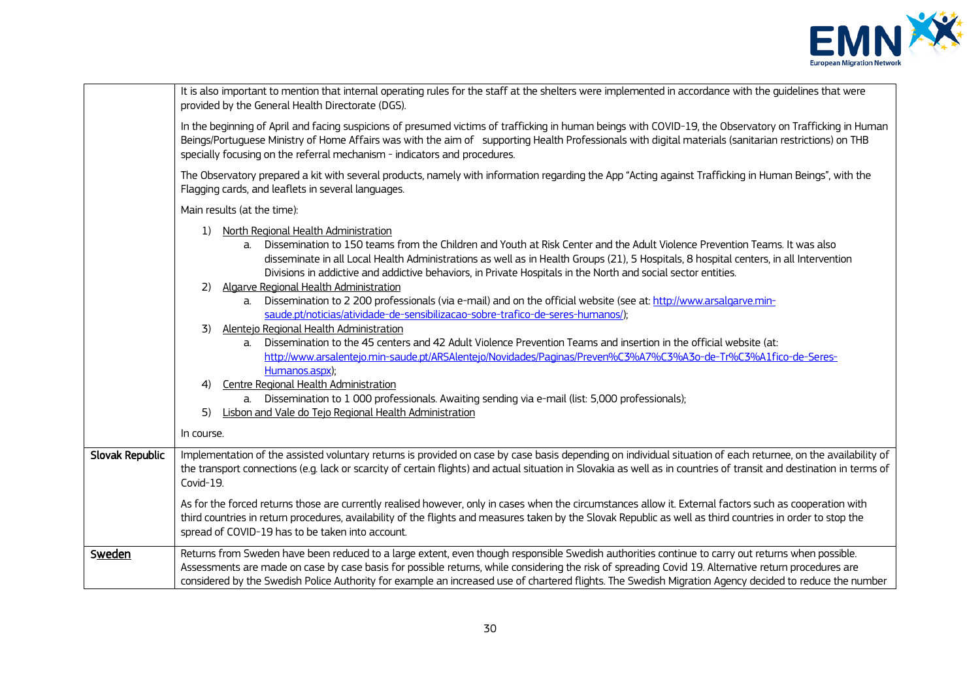

|                 | It is also important to mention that internal operating rules for the staff at the shelters were implemented in accordance with the guidelines that were<br>provided by the General Health Directorate (DGS).                                                                                                                                                                                                                                                                                                                                                                                                                                                                                                                                                                                                                                                                                                                                                                                                                                                                                                                                                                      |  |
|-----------------|------------------------------------------------------------------------------------------------------------------------------------------------------------------------------------------------------------------------------------------------------------------------------------------------------------------------------------------------------------------------------------------------------------------------------------------------------------------------------------------------------------------------------------------------------------------------------------------------------------------------------------------------------------------------------------------------------------------------------------------------------------------------------------------------------------------------------------------------------------------------------------------------------------------------------------------------------------------------------------------------------------------------------------------------------------------------------------------------------------------------------------------------------------------------------------|--|
|                 | In the beginning of April and facing suspicions of presumed victims of trafficking in human beings with COVID-19, the Observatory on Trafficking in Human<br>Beings/Portuguese Ministry of Home Affairs was with the aim of supporting Health Professionals with digital materials (sanitarian restrictions) on THB<br>specially focusing on the referral mechanism - indicators and procedures.                                                                                                                                                                                                                                                                                                                                                                                                                                                                                                                                                                                                                                                                                                                                                                                   |  |
|                 | The Observatory prepared a kit with several products, namely with information regarding the App "Acting against Trafficking in Human Beings", with the<br>Flagging cards, and leaflets in several languages.                                                                                                                                                                                                                                                                                                                                                                                                                                                                                                                                                                                                                                                                                                                                                                                                                                                                                                                                                                       |  |
|                 | Main results (at the time):                                                                                                                                                                                                                                                                                                                                                                                                                                                                                                                                                                                                                                                                                                                                                                                                                                                                                                                                                                                                                                                                                                                                                        |  |
|                 | North Regional Health Administration<br>1)<br>Dissemination to 150 teams from the Children and Youth at Risk Center and the Adult Violence Prevention Teams. It was also<br>a.<br>disseminate in all Local Health Administrations as well as in Health Groups (21), 5 Hospitals, 8 hospital centers, in all Intervention<br>Divisions in addictive and addictive behaviors, in Private Hospitals in the North and social sector entities.<br>Algarve Regional Health Administration<br>2)<br>a. Dissemination to 2 200 professionals (via e-mail) and on the official website (see at: http://www.arsalgarve.min-<br>saude.pt/noticias/atividade-de-sensibilizacao-sobre-trafico-de-seres-humanos/);<br>Alentejo Regional Health Administration<br>3)<br>Dissemination to the 45 centers and 42 Adult Violence Prevention Teams and insertion in the official website (at:<br>$a_{\cdot}$<br>http://www.arsalentejo.min-saude.pt/ARSAlentejo/Novidades/Paginas/Preven%C3%A7%C3%A3o-de-Tr%C3%A1fico-de-Seres-<br>Humanos.aspx);<br>Centre Regional Health Administration<br>4)<br>a. Dissemination to 1 000 professionals. Awaiting sending via e-mail (list: 5,000 professionals); |  |
|                 | Lisbon and Vale do Tejo Regional Health Administration<br>5)                                                                                                                                                                                                                                                                                                                                                                                                                                                                                                                                                                                                                                                                                                                                                                                                                                                                                                                                                                                                                                                                                                                       |  |
|                 | In course.                                                                                                                                                                                                                                                                                                                                                                                                                                                                                                                                                                                                                                                                                                                                                                                                                                                                                                                                                                                                                                                                                                                                                                         |  |
| Slovak Republic | Implementation of the assisted voluntary returns is provided on case by case basis depending on individual situation of each returnee, on the availability of<br>the transport connections (e.g. lack or scarcity of certain flights) and actual situation in Slovakia as well as in countries of transit and destination in terms of<br>Covid-19.                                                                                                                                                                                                                                                                                                                                                                                                                                                                                                                                                                                                                                                                                                                                                                                                                                 |  |
|                 | As for the forced returns those are currently realised however, only in cases when the circumstances allow it. External factors such as cooperation with<br>third countries in return procedures, availability of the flights and measures taken by the Slovak Republic as well as third countries in order to stop the<br>spread of COVID-19 has to be taken into account.                                                                                                                                                                                                                                                                                                                                                                                                                                                                                                                                                                                                                                                                                                                                                                                                        |  |
| Sweden          | Returns from Sweden have been reduced to a large extent, even though responsible Swedish authorities continue to carry out returns when possible.<br>Assessments are made on case by case basis for possible returns, while considering the risk of spreading Covid 19. Alternative return procedures are<br>considered by the Swedish Police Authority for example an increased use of chartered flights. The Swedish Migration Agency decided to reduce the number                                                                                                                                                                                                                                                                                                                                                                                                                                                                                                                                                                                                                                                                                                               |  |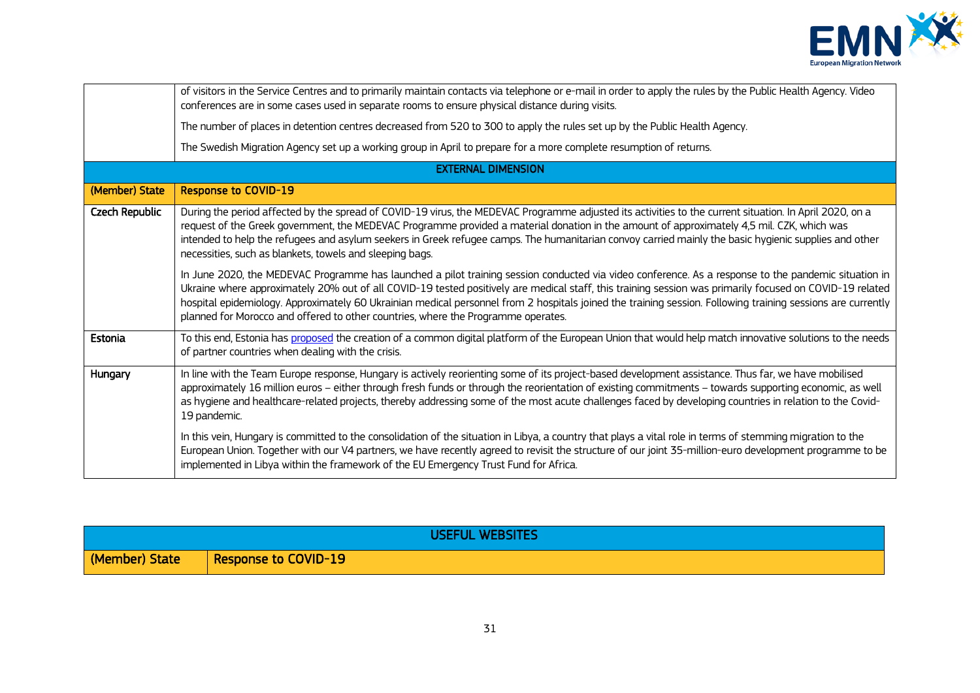

|                | of visitors in the Service Centres and to primarily maintain contacts via telephone or e-mail in order to apply the rules by the Public Health Agency. Video<br>conferences are in some cases used in separate rooms to ensure physical distance during visits.                                                                                                                                                                                                                                                                                                      |
|----------------|----------------------------------------------------------------------------------------------------------------------------------------------------------------------------------------------------------------------------------------------------------------------------------------------------------------------------------------------------------------------------------------------------------------------------------------------------------------------------------------------------------------------------------------------------------------------|
|                | The number of places in detention centres decreased from 520 to 300 to apply the rules set up by the Public Health Agency.                                                                                                                                                                                                                                                                                                                                                                                                                                           |
|                | The Swedish Migration Agency set up a working group in April to prepare for a more complete resumption of returns.                                                                                                                                                                                                                                                                                                                                                                                                                                                   |
|                | <b>EXTERNAL DIMENSION</b>                                                                                                                                                                                                                                                                                                                                                                                                                                                                                                                                            |
| (Member) State | <b>Response to COVID-19</b>                                                                                                                                                                                                                                                                                                                                                                                                                                                                                                                                          |
| Czech Republic | During the period affected by the spread of COVID-19 virus, the MEDEVAC Programme adjusted its activities to the current situation. In April 2020, on a<br>request of the Greek government, the MEDEVAC Programme provided a material donation in the amount of approximately 4,5 mil. CZK, which was<br>intended to help the refugees and asylum seekers in Greek refugee camps. The humanitarian convoy carried mainly the basic hygienic supplies and other<br>necessities, such as blankets, towels and sleeping bags.                                           |
|                | In June 2020, the MEDEVAC Programme has launched a pilot training session conducted via video conference. As a response to the pandemic situation in<br>Ukraine where approximately 20% out of all COVID-19 tested positively are medical staff, this training session was primarily focused on COVID-19 related<br>hospital epidemiology. Approximately 60 Ukrainian medical personnel from 2 hospitals joined the training session. Following training sessions are currently<br>planned for Morocco and offered to other countries, where the Programme operates. |
| Estonia        | To this end, Estonia has proposed the creation of a common digital platform of the European Union that would help match innovative solutions to the needs<br>of partner countries when dealing with the crisis.                                                                                                                                                                                                                                                                                                                                                      |
| Hungary        | In line with the Team Europe response, Hungary is actively reorienting some of its project-based development assistance. Thus far, we have mobilised<br>approximately 16 million euros - either through fresh funds or through the reorientation of existing commitments - towards supporting economic, as well<br>as hygiene and healthcare-related projects, thereby addressing some of the most acute challenges faced by developing countries in relation to the Covid-<br>19 pandemic.                                                                          |
|                | In this vein, Hungary is committed to the consolidation of the situation in Libya, a country that plays a vital role in terms of stemming migration to the<br>European Union. Together with our V4 partners, we have recently agreed to revisit the structure of our joint 35-million-euro development programme to be<br>implemented in Libya within the framework of the EU Emergency Trust Fund for Africa.                                                                                                                                                       |

| <b>USEFUL WEBSITES</b> |                      |
|------------------------|----------------------|
| (Member) State         | Response to COVID-19 |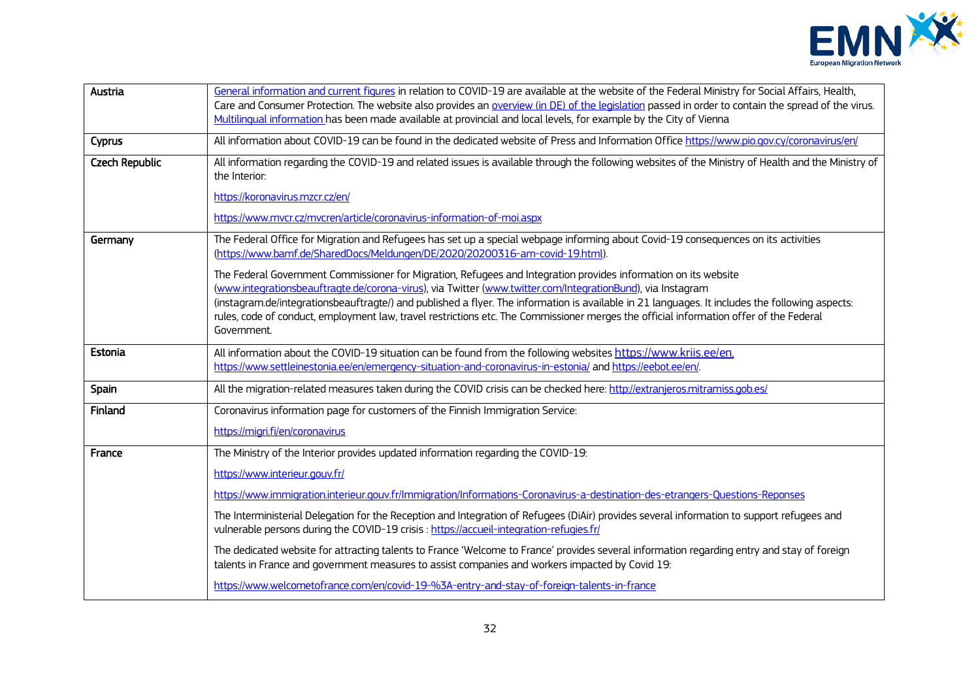

| Austria               | General information and current figures in relation to COVID-19 are available at the website of the Federal Ministry for Social Affairs, Health,<br>Care and Consumer Protection. The website also provides an overview (in DE) of the legislation passed in order to contain the spread of the virus.<br>Multilingual information has been made available at provincial and local levels, for example by the City of Vienna                                                                                                               |
|-----------------------|--------------------------------------------------------------------------------------------------------------------------------------------------------------------------------------------------------------------------------------------------------------------------------------------------------------------------------------------------------------------------------------------------------------------------------------------------------------------------------------------------------------------------------------------|
| Cyprus                | All information about COVID-19 can be found in the dedicated website of Press and Information Office https://www.pio.gov.cy/coronavirus/en/                                                                                                                                                                                                                                                                                                                                                                                                |
| <b>Czech Republic</b> | All information regarding the COVID-19 and related issues is available through the following websites of the Ministry of Health and the Ministry of<br>the Interior:                                                                                                                                                                                                                                                                                                                                                                       |
|                       | https://koronavirus.mzcr.cz/en/                                                                                                                                                                                                                                                                                                                                                                                                                                                                                                            |
|                       | https://www.mvcr.cz/mvcren/article/coronavirus-information-of-moi.aspx                                                                                                                                                                                                                                                                                                                                                                                                                                                                     |
| Germany               | The Federal Office for Migration and Refugees has set up a special webpage informing about Covid-19 consequences on its activities<br>(https://www.bamf.de/SharedDocs/Meldungen/DE/2020/20200316-am-covid-19.html).                                                                                                                                                                                                                                                                                                                        |
|                       | The Federal Government Commissioner for Migration, Refugees and Integration provides information on its website<br>(www.integrationsbeauftragte.de/corona-virus), via Twitter (www.twitter.com/IntegrationBund), via Instagram<br>(instagram.de/integrationsbeauftragte/) and published a flyer. The information is available in 21 languages. It includes the following aspects:<br>rules, code of conduct, employment law, travel restrictions etc. The Commissioner merges the official information offer of the Federal<br>Government. |
| Estonia               | All information about the COVID-19 situation can be found from the following websites https://www.kriis.ee/en,<br>https://www.settleinestonia.ee/en/emergency-situation-and-coronavirus-in-estonia/ and https://eebot.ee/en/.                                                                                                                                                                                                                                                                                                              |
| Spain                 | All the migration-related measures taken during the COVID crisis can be checked here: http://extranjeros.mitramiss.gob.es/                                                                                                                                                                                                                                                                                                                                                                                                                 |
| Finland               | Coronavirus information page for customers of the Finnish Immigration Service:                                                                                                                                                                                                                                                                                                                                                                                                                                                             |
|                       | https://migri.fi/en/coronavirus                                                                                                                                                                                                                                                                                                                                                                                                                                                                                                            |
| France                | The Ministry of the Interior provides updated information regarding the COVID-19:                                                                                                                                                                                                                                                                                                                                                                                                                                                          |
|                       | https://www.interieur.gouv.fr/                                                                                                                                                                                                                                                                                                                                                                                                                                                                                                             |
|                       | https://www.immigration.interieur.gouv.fr/Immigration/Informations-Coronavirus-a-destination-des-etrangers-Questions-Reponses                                                                                                                                                                                                                                                                                                                                                                                                              |
|                       | The Interministerial Delegation for the Reception and Integration of Refugees (DiAir) provides several information to support refugees and<br>vulnerable persons during the COVID-19 crisis : https://accueil-integration-refugies.fr/                                                                                                                                                                                                                                                                                                     |
|                       | The dedicated website for attracting talents to France 'Welcome to France' provides several information regarding entry and stay of foreign<br>talents in France and government measures to assist companies and workers impacted by Covid 19:                                                                                                                                                                                                                                                                                             |
|                       | https://www.welcometofrance.com/en/covid-19-%3A-entry-and-stay-of-foreign-talents-in-france                                                                                                                                                                                                                                                                                                                                                                                                                                                |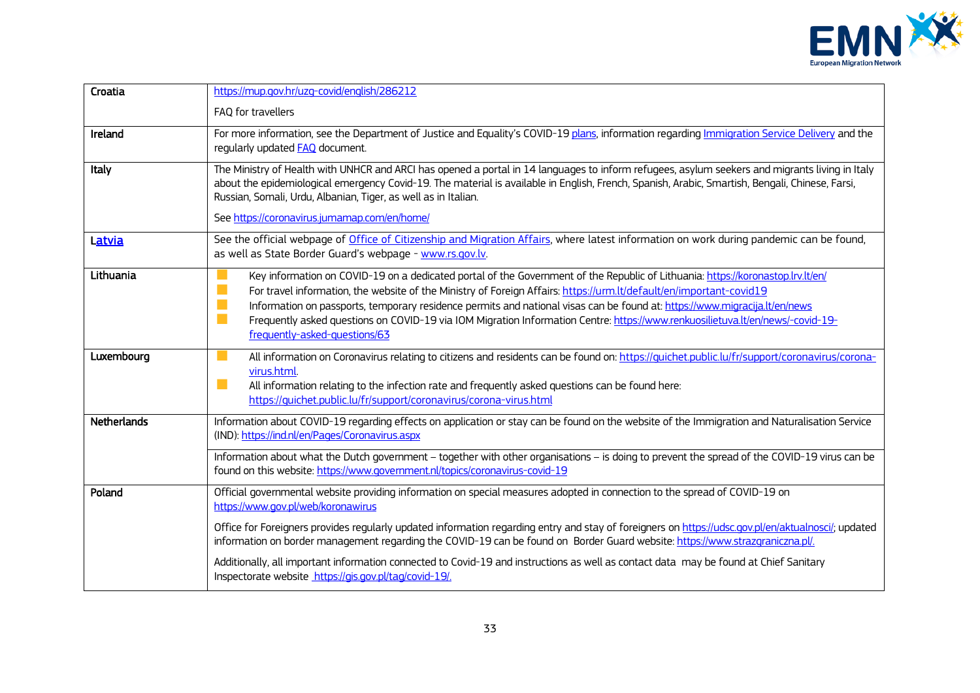

| Croatia     | https://mup.gov.hr/uzg-covid/english/286212                                                                                                                                                                                                                                                                                                                                                                                                                                                                                                                                           |
|-------------|---------------------------------------------------------------------------------------------------------------------------------------------------------------------------------------------------------------------------------------------------------------------------------------------------------------------------------------------------------------------------------------------------------------------------------------------------------------------------------------------------------------------------------------------------------------------------------------|
|             | FAQ for travellers                                                                                                                                                                                                                                                                                                                                                                                                                                                                                                                                                                    |
| Ireland     | For more information, see the Department of Justice and Equality's COVID-19 plans, information regarding Immigration Service Delivery and the<br>regularly updated <b>FAQ</b> document.                                                                                                                                                                                                                                                                                                                                                                                               |
| Italy       | The Ministry of Health with UNHCR and ARCI has opened a portal in 14 languages to inform refugees, asylum seekers and migrants living in Italy<br>about the epidemiological emergency Covid-19. The material is available in English, French, Spanish, Arabic, Smartish, Bengali, Chinese, Farsi,<br>Russian, Somali, Urdu, Albanian, Tiger, as well as in Italian.                                                                                                                                                                                                                   |
|             | See https://coronavirus.jumamap.com/en/home/                                                                                                                                                                                                                                                                                                                                                                                                                                                                                                                                          |
| Latvia      | See the official webpage of Office of Citizenship and Migration Affairs, where latest information on work during pandemic can be found,<br>as well as State Border Guard's webpage - www.rs.gov.lv.                                                                                                                                                                                                                                                                                                                                                                                   |
| Lithuania   | Key information on COVID-19 on a dedicated portal of the Government of the Republic of Lithuania: https://koronastop.lrv.lt/en/<br>$\mathbb{R}^n$<br>For travel information, the website of the Ministry of Foreign Affairs: https://urm.lt/default/en/important-covid19<br>T.<br>Information on passports, temporary residence permits and national visas can be found at: https://www.migracija.lt/en/news<br>T.<br>Frequently asked questions on COVID-19 via IOM Migration Information Centre: https://www.renkuosilietuva.lt/en/news/-covid-19-<br>frequently-asked-questions/63 |
| Luxembourg  | All information on Coronavirus relating to citizens and residents can be found on: https://quichet.public.lu/fr/support/coronavirus/corona-<br>virus.html.<br>a a<br>All information relating to the infection rate and frequently asked questions can be found here:<br>https://quichet.public.lu/fr/support/coronavirus/corona-virus.html                                                                                                                                                                                                                                           |
| Netherlands | Information about COVID-19 regarding effects on application or stay can be found on the website of the Immigration and Naturalisation Service<br>(IND): https://ind.nl/en/Pages/Coronavirus.aspx                                                                                                                                                                                                                                                                                                                                                                                      |
|             | Information about what the Dutch government - together with other organisations - is doing to prevent the spread of the COVID-19 virus can be<br>found on this website: https://www.government.nl/topics/coronavirus-covid-19                                                                                                                                                                                                                                                                                                                                                         |
| Poland      | Official governmental website providing information on special measures adopted in connection to the spread of COVID-19 on<br>https://www.gov.pl/web/koronawirus                                                                                                                                                                                                                                                                                                                                                                                                                      |
|             | Office for Foreigners provides regularly updated information regarding entry and stay of foreigners on https://udsc.gov.pl/en/aktualnosci/; updated<br>information on border management regarding the COVID-19 can be found on Border Guard website: https://www.strazgraniczna.pl/.                                                                                                                                                                                                                                                                                                  |
|             | Additionally, all important information connected to Covid-19 and instructions as well as contact data may be found at Chief Sanitary<br>Inspectorate website https://gis.gov.pl/tag/covid-19/.                                                                                                                                                                                                                                                                                                                                                                                       |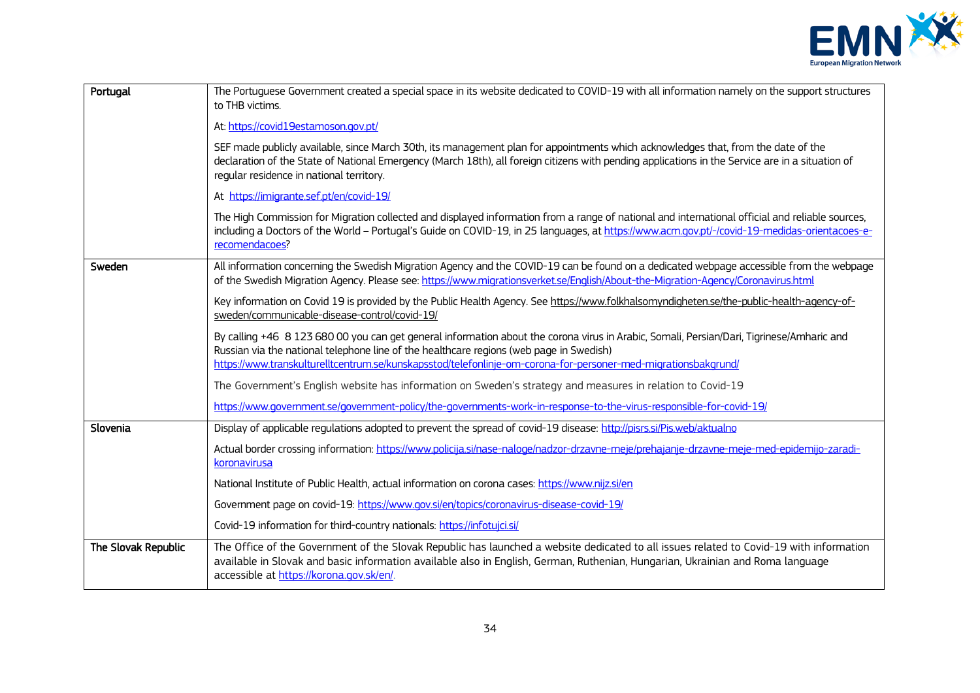

| Portugal            | The Portuguese Government created a special space in its website dedicated to COVID-19 with all information namely on the support structures<br>to THB victims.                                                                                                                                                                                        |
|---------------------|--------------------------------------------------------------------------------------------------------------------------------------------------------------------------------------------------------------------------------------------------------------------------------------------------------------------------------------------------------|
|                     | At: https://covid19estamoson.gov.pt/                                                                                                                                                                                                                                                                                                                   |
|                     | SEF made publicly available, since March 30th, its management plan for appointments which acknowledges that, from the date of the<br>declaration of the State of National Emergency (March 18th), all foreign citizens with pending applications in the Service are in a situation of<br>regular residence in national territory.                      |
|                     | At https://imigrante.sef.pt/en/covid-19/                                                                                                                                                                                                                                                                                                               |
|                     | The High Commission for Migration collected and displayed information from a range of national and international official and reliable sources,<br>including a Doctors of the World - Portugal's Guide on COVID-19, in 25 languages, at https://www.acm.gov.pt/-/covid-19-medidas-orientacoes-e-<br>recomendacoes?                                     |
| Sweden              | All information concerning the Swedish Migration Agency and the COVID-19 can be found on a dedicated webpage accessible from the webpage<br>of the Swedish Migration Agency. Please see: https://www.migrationsverket.se/English/About-the-Migration-Agency/Coronavirus.html                                                                           |
|                     | Key information on Covid 19 is provided by the Public Health Agency. See https://www.folkhalsomyndigheten.se/the-public-health-agency-of-<br>sweden/communicable-disease-control/covid-19/                                                                                                                                                             |
|                     | By calling +46 8 123 680 00 you can get general information about the corona virus in Arabic, Somali, Persian/Dari, Tigrinese/Amharic and<br>Russian via the national telephone line of the healthcare regions (web page in Swedish)<br>https://www.transkulturelltcentrum.se/kunskapsstod/telefonlinje-om-corona-for-personer-med-migrationsbakgrund/ |
|                     | The Government's English website has information on Sweden's strategy and measures in relation to Covid-19                                                                                                                                                                                                                                             |
|                     | https://www.government.se/government-policy/the-governments-work-in-response-to-the-virus-responsible-for-covid-19/                                                                                                                                                                                                                                    |
| Slovenia            | Display of applicable regulations adopted to prevent the spread of covid-19 disease: http://pisrs.si/Pis.web/aktualno                                                                                                                                                                                                                                  |
|                     | Actual border crossing information: https://www.policija.si/nase-naloge/nadzor-drzavne-meje/prehajanje-drzavne-meje-med-epidemijo-zaradi-<br>koronavirusa                                                                                                                                                                                              |
|                     | National Institute of Public Health, actual information on corona cases: https://www.nijz.si/en                                                                                                                                                                                                                                                        |
|                     | Government page on covid-19: https://www.gov.si/en/topics/coronavirus-disease-covid-19/                                                                                                                                                                                                                                                                |
|                     | Covid-19 information for third-country nationals: https://infotujci.si/                                                                                                                                                                                                                                                                                |
| The Slovak Republic | The Office of the Government of the Slovak Republic has launched a website dedicated to all issues related to Covid-19 with information<br>available in Slovak and basic information available also in English, German, Ruthenian, Hungarian, Ukrainian and Roma language<br>accessible at https://korona.gov.sk/en/.                                  |